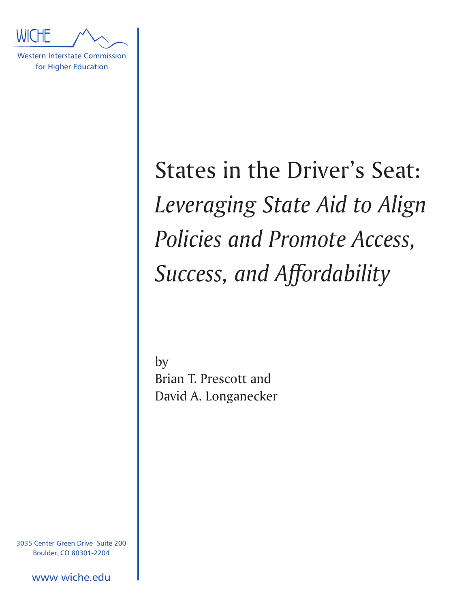

# States in the Driver's Seat: *Leveraging State Aid to Align Policies and Promote Access, Success, and Affordability*

by Brian T. Prescott and David A. Longanecker

3035 Center Green Drive Suite 200 Boulder, CO 80301-2204

www wiche.edu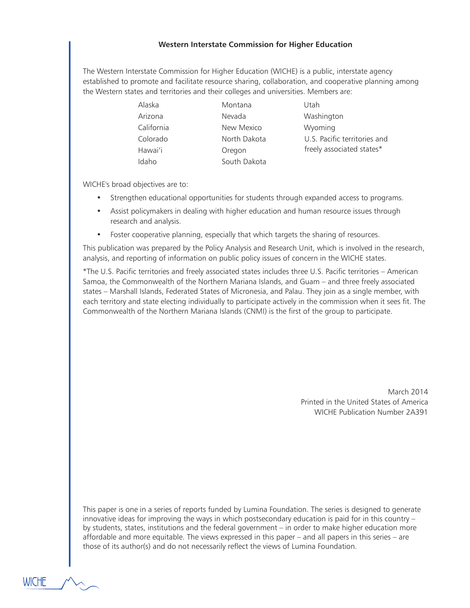#### **Western Interstate Commission for Higher Education**

The Western Interstate Commission for Higher Education (WICHE) is a public, interstate agency established to promote and facilitate resource sharing, collaboration, and cooperative planning among the Western states and territories and their colleges and universities. Members are:

| Alaska     | Montana      | Utah                         |
|------------|--------------|------------------------------|
| Arizona    | Nevada       | Washington                   |
| California | New Mexico   | Wyoming                      |
| Colorado   | North Dakota | U.S. Pacific territories and |
| Hawai'i    | Oregon       | freely associated states*    |
| Idaho      | South Dakota |                              |

WICHE's broad objectives are to:

- Strengthen educational opportunities for students through expanded access to programs.
- Assist policymakers in dealing with higher education and human resource issues through research and analysis.
- Foster cooperative planning, especially that which targets the sharing of resources.

This publication was prepared by the Policy Analysis and Research Unit, which is involved in the research, analysis, and reporting of information on public policy issues of concern in the WICHE states.

\*The U.S. Pacific territories and freely associated states includes three U.S. Pacific territories – American Samoa, the Commonwealth of the Northern Mariana Islands, and Guam – and three freely associated states – Marshall Islands, Federated States of Micronesia, and Palau. They join as a single member, with each territory and state electing individually to participate actively in the commission when it sees fit. The Commonwealth of the Northern Mariana Islands (CNMI) is the first of the group to participate.

> March 2014 Printed in the United States of America WICHE Publication Number 2A391

This paper is one in a series of reports funded by Lumina Foundation. The series is designed to generate innovative ideas for improving the ways in which postsecondary education is paid for in this country – by students, states, institutions and the federal government – in order to make higher education more affordable and more equitable. The views expressed in this paper – and all papers in this series – are those of its author(s) and do not necessarily reflect the views of Lumina Foundation.

**WICHE**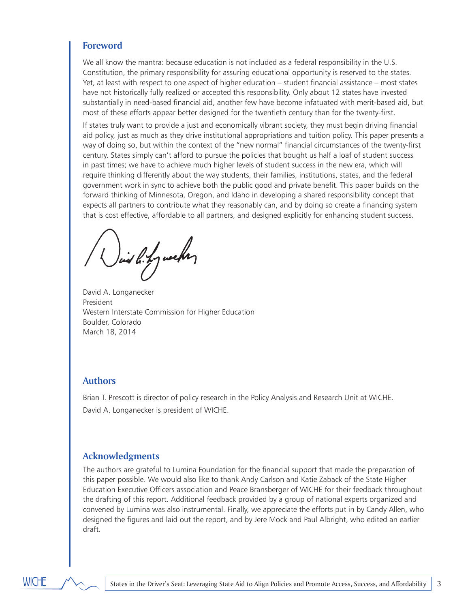## **Foreword**

We all know the mantra: because education is not included as a federal responsibility in the U.S. Constitution, the primary responsibility for assuring educational opportunity is reserved to the states. Yet, at least with respect to one aspect of higher education – student financial assistance – most states have not historically fully realized or accepted this responsibility. Only about 12 states have invested substantially in need-based financial aid, another few have become infatuated with merit-based aid, but most of these efforts appear better designed for the twentieth century than for the twenty-first.

If states truly want to provide a just and economically vibrant society, they must begin driving financial aid policy, just as much as they drive institutional appropriations and tuition policy. This paper presents a way of doing so, but within the context of the "new normal" financial circumstances of the twenty-first century. States simply can't afford to pursue the policies that bought us half a loaf of student success in past times; we have to achieve much higher levels of student success in the new era, which will require thinking differently about the way students, their families, institutions, states, and the federal government work in sync to achieve both the public good and private benefit. This paper builds on the forward thinking of Minnesota, Oregon, and Idaho in developing a shared responsibility concept that expects all partners to contribute what they reasonably can, and by doing so create a financing system that is cost effective, affordable to all partners, and designed explicitly for enhancing student success.

in linguechy

David A. Longanecker President Western Interstate Commission for Higher Education Boulder, Colorado March 18, 2014

## **Authors**

Brian T. Prescott is director of policy research in the Policy Analysis and Research Unit at WICHE. David A. Longanecker is president of WICHE.

## **Acknowledgments**

The authors are grateful to Lumina Foundation for the financial support that made the preparation of this paper possible. We would also like to thank Andy Carlson and Katie Zaback of the State Higher Education Executive Officers association and Peace Bransberger of WICHE for their feedback throughout the drafting of this report. Additional feedback provided by a group of national experts organized and convened by Lumina was also instrumental. Finally, we appreciate the efforts put in by Candy Allen, who designed the figures and laid out the report, and by Jere Mock and Paul Albright, who edited an earlier draft.

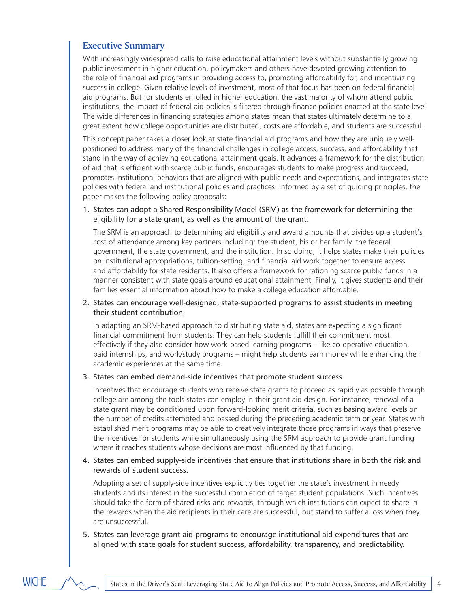# **Executive Summary**

With increasingly widespread calls to raise educational attainment levels without substantially growing public investment in higher education, policymakers and others have devoted growing attention to the role of financial aid programs in providing access to, promoting affordability for, and incentivizing success in college. Given relative levels of investment, most of that focus has been on federal financial aid programs. But for students enrolled in higher education, the vast majority of whom attend public institutions, the impact of federal aid policies is filtered through finance policies enacted at the state level. The wide differences in financing strategies among states mean that states ultimately determine to a great extent how college opportunities are distributed, costs are affordable, and students are successful.

This concept paper takes a closer look at state financial aid programs and how they are uniquely wellpositioned to address many of the financial challenges in college access, success, and affordability that stand in the way of achieving educational attainment goals. It advances a framework for the distribution of aid that is efficient with scarce public funds, encourages students to make progress and succeed, promotes institutional behaviors that are aligned with public needs and expectations, and integrates state policies with federal and institutional policies and practices. Informed by a set of guiding principles, the paper makes the following policy proposals:

1. States can adopt a Shared Responsibility Model (SRM) as the framework for determining the eligibility for a state grant, as well as the amount of the grant.

The SRM is an approach to determining aid eligibility and award amounts that divides up a student's cost of attendance among key partners including: the student, his or her family, the federal government, the state government, and the institution. In so doing, it helps states make their policies on institutional appropriations, tuition-setting, and financial aid work together to ensure access and affordability for state residents. It also offers a framework for rationing scarce public funds in a manner consistent with state goals around educational attainment. Finally, it gives students and their families essential information about how to make a college education affordable.

#### 2. States can encourage well-designed, state-supported programs to assist students in meeting their student contribution.

In adapting an SRM-based approach to distributing state aid, states are expecting a significant financial commitment from students. They can help students fulfill their commitment most effectively if they also consider how work-based learning programs – like co-operative education, paid internships, and work/study programs – might help students earn money while enhancing their academic experiences at the same time.

#### 3. States can embed demand-side incentives that promote student success.

Incentives that encourage students who receive state grants to proceed as rapidly as possible through college are among the tools states can employ in their grant aid design. For instance, renewal of a state grant may be conditioned upon forward-looking merit criteria, such as basing award levels on the number of credits attempted and passed during the preceding academic term or year. States with established merit programs may be able to creatively integrate those programs in ways that preserve the incentives for students while simultaneously using the SRM approach to provide grant funding where it reaches students whose decisions are most influenced by that funding.

4. States can embed supply-side incentives that ensure that institutions share in both the risk and rewards of student success.

Adopting a set of supply-side incentives explicitly ties together the state's investment in needy students and its interest in the successful completion of target student populations. Such incentives should take the form of shared risks and rewards, through which institutions can expect to share in the rewards when the aid recipients in their care are successful, but stand to suffer a loss when they are unsuccessful.

5. States can leverage grant aid programs to encourage institutional aid expenditures that are aligned with state goals for student success, affordability, transparency, and predictability.

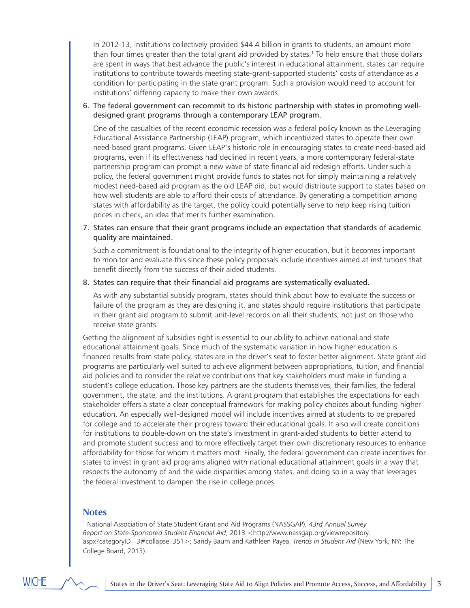In 2012-13, institutions collectively provided \$44.4 billion in grants to students, an amount more than four times greater than the total grant aid provided by states.<sup>1</sup> To help ensure that those dollars are spent in ways that best advance the public's interest in educational attainment, states can require institutions to contribute towards meeting state-grant-supported students' costs of attendance as a condition for participating in the state grant program. Such a provision would need to account for institutions' differing capacity to make their own awards.

6. The federal government can recommit to its historic partnership with states in promoting welldesigned grant programs through a contemporary LEAP program.

One of the casualties of the recent economic recession was a federal policy known as the Leveraging Educational Assistance Partnership (LEAP) program, which incentivized states to operate their own need-based grant programs. Given LEAP's historic role in encouraging states to create need-based aid programs, even if its effectiveness had declined in recent years, a more contemporary federal-state partnership program can prompt a new wave of state financial aid redesign efforts. Under such a policy, the federal government might provide funds to states not for simply maintaining a relatively modest need-based aid program as the old LEAP did, but would distribute support to states based on how well students are able to afford their costs of attendance. By generating a competition among states with affordability as the target, the policy could potentially serve to help keep rising tuition prices in check, an idea that merits further examination.

7. States can ensure that their grant programs include an expectation that standards of academic quality are maintained.

Such a commitment is foundational to the integrity of higher education, but it becomes important to monitor and evaluate this since these policy proposals include incentives aimed at institutions that benefit directly from the success of their aided students.

#### 8. States can require that their financial aid programs are systematically evaluated.

As with any substantial subsidy program, states should think about how to evaluate the success or failure of the program as they are designing it, and states should require institutions that participate in their grant aid program to submit unit-level records on all their students, not just on those who receive state grants.

Getting the alignment of subsidies right is essential to our ability to achieve national and state educational attainment goals. Since much of the systematic variation in how higher education is financed results from state policy, states are in the driver's seat to foster better alignment. State grant aid programs are particularly well suited to achieve alignment between appropriations, tuition, and financial aid policies and to consider the relative contributions that key stakeholders must make in funding a student's college education. Those key partners are the students themselves, their families, the federal government, the state, and the institutions. A grant program that establishes the expectations for each stakeholder offers a state a clear conceptual framework for making policy choices about funding higher education. An especially well-designed model will include incentives aimed at students to be prepared for college and to accelerate their progress toward their educational goals. It also will create conditions for institutions to double-down on the state's investment in grant-aided students to better attend to and promote student success and to more effectively target their own discretionary resources to enhance affordability for those for whom it matters most. Finally, the federal government can create incentives for states to invest in grant aid programs aligned with national educational attainment goals in a way that respects the autonomy of and the wide disparities among states, and doing so in a way that leverages the federal investment to dampen the rise in college prices.

## **Notes**

1 National Association of State Student Grant and Aid Programs (NASSGAP), *43rd Annual Survey*  Report on State-Sponsored Student Financial Aid, 2013 <http://www.nassgap.org/viewrepository. aspx?categoryID=3#collapse\_351>; Sandy Baum and Kathleen Payea, *Trends in Student Aid* (New York, NY: The College Board, 2013).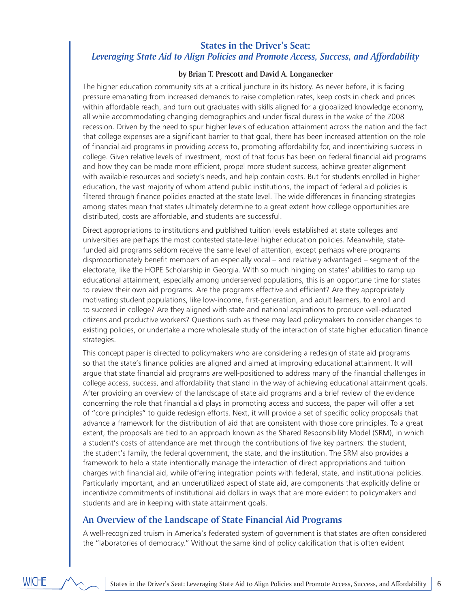# **States in the Driver's Seat:**  *Leveraging State Aid to Align Policies and Promote Access, Success, and Affordability*

## **by Brian T. Prescott and David A. Longanecker**

The higher education community sits at a critical juncture in its history. As never before, it is facing pressure emanating from increased demands to raise completion rates, keep costs in check and prices within affordable reach, and turn out graduates with skills aligned for a globalized knowledge economy, all while accommodating changing demographics and under fiscal duress in the wake of the 2008 recession. Driven by the need to spur higher levels of education attainment across the nation and the fact that college expenses are a significant barrier to that goal, there has been increased attention on the role of financial aid programs in providing access to, promoting affordability for, and incentivizing success in college. Given relative levels of investment, most of that focus has been on federal financial aid programs and how they can be made more efficient, propel more student success, achieve greater alignment with available resources and society's needs, and help contain costs. But for students enrolled in higher education, the vast majority of whom attend public institutions, the impact of federal aid policies is filtered through finance policies enacted at the state level. The wide differences in financing strategies among states mean that states ultimately determine to a great extent how college opportunities are distributed, costs are affordable, and students are successful.

Direct appropriations to institutions and published tuition levels established at state colleges and universities are perhaps the most contested state-level higher education policies. Meanwhile, statefunded aid programs seldom receive the same level of attention, except perhaps where programs disproportionately benefit members of an especially vocal – and relatively advantaged – segment of the electorate, like the HOPE Scholarship in Georgia. With so much hinging on states' abilities to ramp up educational attainment, especially among underserved populations, this is an opportune time for states to review their own aid programs. Are the programs effective and efficient? Are they appropriately motivating student populations, like low-income, first-generation, and adult learners, to enroll and to succeed in college? Are they aligned with state and national aspirations to produce well-educated citizens and productive workers? Questions such as these may lead policymakers to consider changes to existing policies, or undertake a more wholesale study of the interaction of state higher education finance strategies.

This concept paper is directed to policymakers who are considering a redesign of state aid programs so that the state's finance policies are aligned and aimed at improving educational attainment. It will argue that state financial aid programs are well-positioned to address many of the financial challenges in college access, success, and affordability that stand in the way of achieving educational attainment goals. After providing an overview of the landscape of state aid programs and a brief review of the evidence concerning the role that financial aid plays in promoting access and success, the paper will offer a set of "core principles" to guide redesign efforts. Next, it will provide a set of specific policy proposals that advance a framework for the distribution of aid that are consistent with those core principles. To a great extent, the proposals are tied to an approach known as the Shared Responsibility Model (SRM), in which a student's costs of attendance are met through the contributions of five key partners: the student, the student's family, the federal government, the state, and the institution. The SRM also provides a framework to help a state intentionally manage the interaction of direct appropriations and tuition charges with financial aid, while offering integration points with federal, state, and institutional policies. Particularly important, and an underutilized aspect of state aid, are components that explicitly define or incentivize commitments of institutional aid dollars in ways that are more evident to policymakers and students and are in keeping with state attainment goals.

# **An Overview of the Landscape of State Financial Aid Programs**

A well-recognized truism in America's federated system of government is that states are often considered the "laboratories of democracy." Without the same kind of policy calcification that is often evident

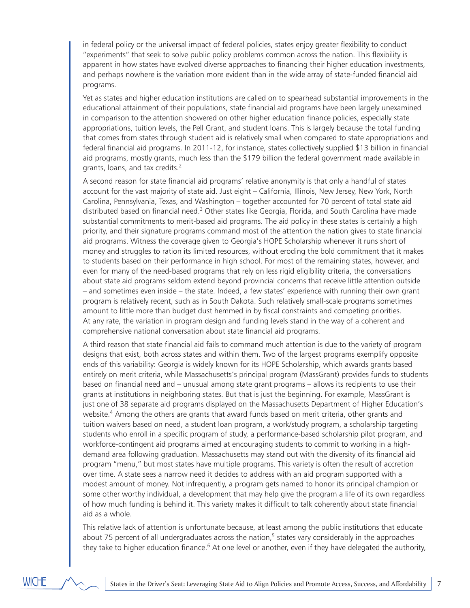in federal policy or the universal impact of federal policies, states enjoy greater flexibility to conduct "experiments" that seek to solve public policy problems common across the nation. This flexibility is apparent in how states have evolved diverse approaches to financing their higher education investments, and perhaps nowhere is the variation more evident than in the wide array of state-funded financial aid programs.

Yet as states and higher education institutions are called on to spearhead substantial improvements in the educational attainment of their populations, state financial aid programs have been largely unexamined in comparison to the attention showered on other higher education finance policies, especially state appropriations, tuition levels, the Pell Grant, and student loans. This is largely because the total funding that comes from states through student aid is relatively small when compared to state appropriations and federal financial aid programs. In 2011-12, for instance, states collectively supplied \$13 billion in financial aid programs, mostly grants, much less than the \$179 billion the federal government made available in grants, loans, and tax credits.2

A second reason for state financial aid programs' relative anonymity is that only a handful of states account for the vast majority of state aid. Just eight – California, Illinois, New Jersey, New York, North Carolina, Pennsylvania, Texas, and Washington – together accounted for 70 percent of total state aid distributed based on financial need.<sup>3</sup> Other states like Georgia, Florida, and South Carolina have made substantial commitments to merit-based aid programs. The aid policy in these states is certainly a high priority, and their signature programs command most of the attention the nation gives to state financial aid programs. Witness the coverage given to Georgia's HOPE Scholarship whenever it runs short of money and struggles to ration its limited resources, without eroding the bold commitment that it makes to students based on their performance in high school. For most of the remaining states, however, and even for many of the need-based programs that rely on less rigid eligibility criteria, the conversations about state aid programs seldom extend beyond provincial concerns that receive little attention outside – and sometimes even inside – the state. Indeed, a few states' experience with running their own grant program is relatively recent, such as in South Dakota. Such relatively small-scale programs sometimes amount to little more than budget dust hemmed in by fiscal constraints and competing priorities. At any rate, the variation in program design and funding levels stand in the way of a coherent and comprehensive national conversation about state financial aid programs.

A third reason that state financial aid fails to command much attention is due to the variety of program designs that exist, both across states and within them. Two of the largest programs exemplify opposite ends of this variability: Georgia is widely known for its HOPE Scholarship, which awards grants based entirely on merit criteria, while Massachusetts's principal program (MassGrant) provides funds to students based on financial need and – unusual among state grant programs – allows its recipients to use their grants at institutions in neighboring states. But that is just the beginning. For example, MassGrant is just one of 38 separate aid programs displayed on the Massachusetts Department of Higher Education's website.<sup>4</sup> Among the others are grants that award funds based on merit criteria, other grants and tuition waivers based on need, a student loan program, a work/study program, a scholarship targeting students who enroll in a specific program of study, a performance-based scholarship pilot program, and workforce-contingent aid programs aimed at encouraging students to commit to working in a highdemand area following graduation. Massachusetts may stand out with the diversity of its financial aid program "menu," but most states have multiple programs. This variety is often the result of accretion over time. A state sees a narrow need it decides to address with an aid program supported with a modest amount of money. Not infrequently, a program gets named to honor its principal champion or some other worthy individual, a development that may help give the program a life of its own regardless of how much funding is behind it. This variety makes it difficult to talk coherently about state financial aid as a whole.

This relative lack of attention is unfortunate because, at least among the public institutions that educate about 75 percent of all undergraduates across the nation,<sup>5</sup> states vary considerably in the approaches they take to higher education finance.<sup>6</sup> At one level or another, even if they have delegated the authority,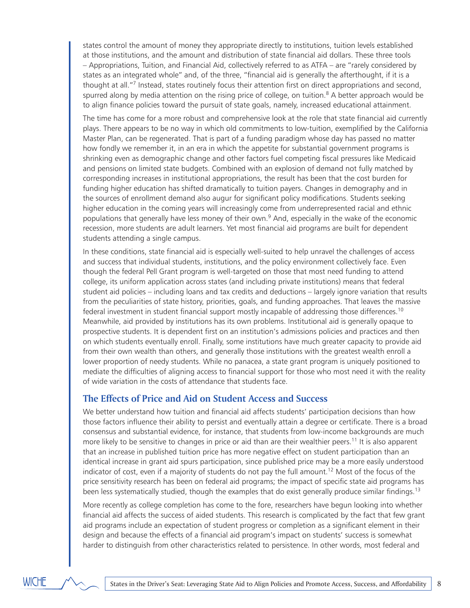states control the amount of money they appropriate directly to institutions, tuition levels established at those institutions, and the amount and distribution of state financial aid dollars. These three tools – Appropriations, Tuition, and Financial Aid, collectively referred to as ATFA – are "rarely considered by states as an integrated whole" and, of the three, "financial aid is generally the afterthought, if it is a thought at all."7 Instead, states routinely focus their attention first on direct appropriations and second, spurred along by media attention on the rising price of college, on tuition.<sup>8</sup> A better approach would be to align finance policies toward the pursuit of state goals, namely, increased educational attainment.

The time has come for a more robust and comprehensive look at the role that state financial aid currently plays. There appears to be no way in which old commitments to low-tuition, exemplified by the California Master Plan, can be regenerated. That is part of a funding paradigm whose day has passed no matter how fondly we remember it, in an era in which the appetite for substantial government programs is shrinking even as demographic change and other factors fuel competing fiscal pressures like Medicaid and pensions on limited state budgets. Combined with an explosion of demand not fully matched by corresponding increases in institutional appropriations, the result has been that the cost burden for funding higher education has shifted dramatically to tuition payers. Changes in demography and in the sources of enrollment demand also augur for significant policy modifications. Students seeking higher education in the coming years will increasingly come from underrepresented racial and ethnic populations that generally have less money of their own.9 And, especially in the wake of the economic recession, more students are adult learners. Yet most financial aid programs are built for dependent students attending a single campus.

In these conditions, state financial aid is especially well-suited to help unravel the challenges of access and success that individual students, institutions, and the policy environment collectively face. Even though the federal Pell Grant program is well-targeted on those that most need funding to attend college, its uniform application across states (and including private institutions) means that federal student aid policies – including loans and tax credits and deductions – largely ignore variation that results from the peculiarities of state history, priorities, goals, and funding approaches. That leaves the massive federal investment in student financial support mostly incapable of addressing those differences.<sup>10</sup> Meanwhile, aid provided by institutions has its own problems. Institutional aid is generally opaque to prospective students. It is dependent first on an institution's admissions policies and practices and then on which students eventually enroll. Finally, some institutions have much greater capacity to provide aid from their own wealth than others, and generally those institutions with the greatest wealth enroll a lower proportion of needy students. While no panacea, a state grant program is uniquely positioned to mediate the difficulties of aligning access to financial support for those who most need it with the reality of wide variation in the costs of attendance that students face.

# **The Effects of Price and Aid on Student Access and Success**

We better understand how tuition and financial aid affects students' participation decisions than how those factors influence their ability to persist and eventually attain a degree or certificate. There is a broad consensus and substantial evidence, for instance, that students from low-income backgrounds are much more likely to be sensitive to changes in price or aid than are their wealthier peers.<sup>11</sup> It is also apparent that an increase in published tuition price has more negative effect on student participation than an identical increase in grant aid spurs participation, since published price may be a more easily understood indicator of cost, even if a majority of students do not pay the full amount.12 Most of the focus of the price sensitivity research has been on federal aid programs; the impact of specific state aid programs has been less systematically studied, though the examples that do exist generally produce similar findings.<sup>13</sup>

More recently as college completion has come to the fore, researchers have begun looking into whether financial aid affects the success of aided students. This research is complicated by the fact that few grant aid programs include an expectation of student progress or completion as a significant element in their design and because the effects of a financial aid program's impact on students' success is somewhat harder to distinguish from other characteristics related to persistence. In other words, most federal and

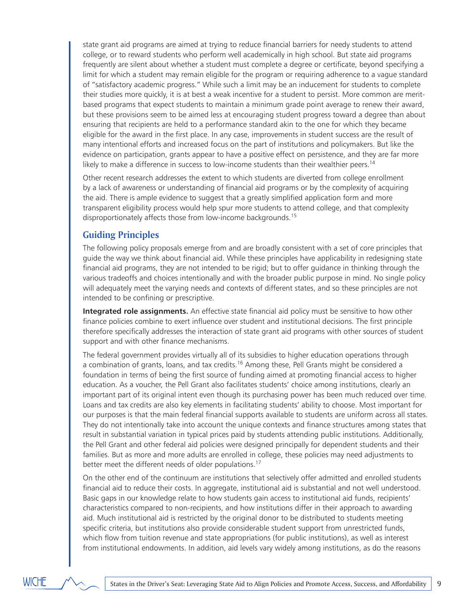state grant aid programs are aimed at trying to reduce financial barriers for needy students to attend college, or to reward students who perform well academically in high school. But state aid programs frequently are silent about whether a student must complete a degree or certificate, beyond specifying a limit for which a student may remain eligible for the program or requiring adherence to a vague standard of "satisfactory academic progress." While such a limit may be an inducement for students to complete their studies more quickly, it is at best a weak incentive for a student to persist. More common are meritbased programs that expect students to maintain a minimum grade point average to renew their award, but these provisions seem to be aimed less at encouraging student progress toward a degree than about ensuring that recipients are held to a performance standard akin to the one for which they became eligible for the award in the first place. In any case, improvements in student success are the result of many intentional efforts and increased focus on the part of institutions and policymakers. But like the evidence on participation, grants appear to have a positive effect on persistence, and they are far more likely to make a difference in success to low-income students than their wealthier peers.<sup>14</sup>

Other recent research addresses the extent to which students are diverted from college enrollment by a lack of awareness or understanding of financial aid programs or by the complexity of acquiring the aid. There is ample evidence to suggest that a greatly simplified application form and more transparent eligibility process would help spur more students to attend college, and that complexity disproportionately affects those from low-income backgrounds.<sup>15</sup>

# **Guiding Principles**

The following policy proposals emerge from and are broadly consistent with a set of core principles that guide the way we think about financial aid. While these principles have applicability in redesigning state financial aid programs, they are not intended to be rigid; but to offer guidance in thinking through the various tradeoffs and choices intentionally and with the broader public purpose in mind. No single policy will adequately meet the varying needs and contexts of different states, and so these principles are not intended to be confining or prescriptive.

**Integrated role assignments.** An effective state financial aid policy must be sensitive to how other finance policies combine to exert influence over student and institutional decisions. The first principle therefore specifically addresses the interaction of state grant aid programs with other sources of student support and with other finance mechanisms.

The federal government provides virtually all of its subsidies to higher education operations through a combination of grants, loans, and tax credits.<sup>16</sup> Among these, Pell Grants might be considered a foundation in terms of being the first source of funding aimed at promoting financial access to higher education. As a voucher, the Pell Grant also facilitates students' choice among institutions, clearly an important part of its original intent even though its purchasing power has been much reduced over time. Loans and tax credits are also key elements in facilitating students' ability to choose. Most important for our purposes is that the main federal financial supports available to students are uniform across all states. They do not intentionally take into account the unique contexts and finance structures among states that result in substantial variation in typical prices paid by students attending public institutions. Additionally, the Pell Grant and other federal aid policies were designed principally for dependent students and their families. But as more and more adults are enrolled in college, these policies may need adjustments to better meet the different needs of older populations.<sup>17</sup>

On the other end of the continuum are institutions that selectively offer admitted and enrolled students financial aid to reduce their costs. In aggregate, institutional aid is substantial and not well understood. Basic gaps in our knowledge relate to how students gain access to institutional aid funds, recipients' characteristics compared to non-recipients, and how institutions differ in their approach to awarding aid. Much institutional aid is restricted by the original donor to be distributed to students meeting specific criteria, but institutions also provide considerable student support from unrestricted funds, which flow from tuition revenue and state appropriations (for public institutions), as well as interest from institutional endowments. In addition, aid levels vary widely among institutions, as do the reasons

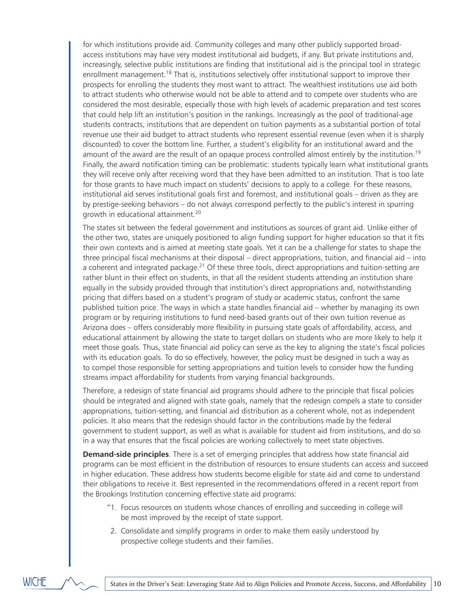for which institutions provide aid. Community colleges and many other publicly supported broadaccess institutions may have very modest institutional aid budgets, if any. But private institutions and, increasingly, selective public institutions are finding that institutional aid is the principal tool in strategic enrollment management.<sup>18</sup> That is, institutions selectively offer institutional support to improve their prospects for enrolling the students they most want to attract. The wealthiest institutions use aid both to attract students who otherwise would not be able to attend and to compete over students who are considered the most desirable, especially those with high levels of academic preparation and test scores that could help lift an institution's position in the rankings. Increasingly as the pool of traditional-age students contracts, institutions that are dependent on tuition payments as a substantial portion of total revenue use their aid budget to attract students who represent essential revenue (even when it is sharply discounted) to cover the bottom line. Further, a student's eligibility for an institutional award and the amount of the award are the result of an opaque process controlled almost entirely by the institution.<sup>19</sup> Finally, the award notification timing can be problematic: students typically learn what institutional grants they will receive only after receiving word that they have been admitted to an institution. That is too late for those grants to have much impact on students' decisions to apply to a college. For these reasons, institutional aid serves institutional goals first and foremost, and institutional goals – driven as they are by prestige-seeking behaviors – do not always correspond perfectly to the public's interest in spurring growth in educational attainment.20

The states sit between the federal government and institutions as sources of grant aid. Unlike either of the other two, states are uniquely positioned to align funding support for higher education so that it fits their own contexts and is aimed at meeting state goals. Yet it can be a challenge for states to shape the three principal fiscal mechanisms at their disposal – direct appropriations, tuition, and financial aid – into a coherent and integrated package.<sup>21</sup> Of these three tools, direct appropriations and tuition-setting are rather blunt in their effect on students, in that all the resident students attending an institution share equally in the subsidy provided through that institution's direct appropriations and, notwithstanding pricing that differs based on a student's program of study or academic status, confront the same published tuition price. The ways in which a state handles financial aid – whether by managing its own program or by requiring institutions to fund need-based grants out of their own tuition revenue as Arizona does – offers considerably more flexibility in pursuing state goals of affordability, access, and educational attainment by allowing the state to target dollars on students who are more likely to help it meet those goals. Thus, state financial aid policy can serve as the key to aligning the state's fiscal policies with its education goals. To do so effectively, however, the policy must be designed in such a way as to compel those responsible for setting appropriations and tuition levels to consider how the funding streams impact affordability for students from varying financial backgrounds.

Therefore, a redesign of state financial aid programs should adhere to the principle that fiscal policies should be integrated and aligned with state goals, namely that the redesign compels a state to consider appropriations, tuition-setting, and financial aid distribution as a coherent whole, not as independent policies. It also means that the redesign should factor in the contributions made by the federal government to student support, as well as what is available for student aid from institutions, and do so in a way that ensures that the fiscal policies are working collectively to meet state objectives.

**Demand-side principles**. There is a set of emerging principles that address how state financial aid programs can be most efficient in the distribution of resources to ensure students can access and succeed in higher education. These address how students become eligible for state aid and come to understand their obligations to receive it. Best represented in the recommendations offered in a recent report from the Brookings Institution concerning effective state aid programs:

- "1. Focus resources on students whose chances of enrolling and succeeding in college will be most improved by the receipt of state support.
- 2. Consolidate and simplify programs in order to make them easily understood by prospective college students and their families.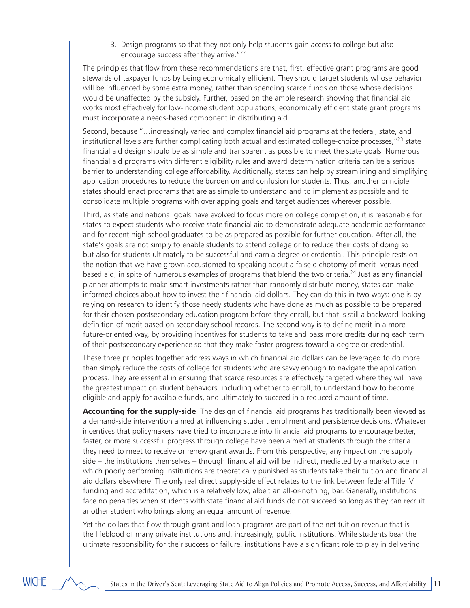3. Design programs so that they not only help students gain access to college but also encourage success after they arrive."22

The principles that flow from these recommendations are that, first, effective grant programs are good stewards of taxpayer funds by being economically efficient. They should target students whose behavior will be influenced by some extra money, rather than spending scarce funds on those whose decisions would be unaffected by the subsidy. Further, based on the ample research showing that financial aid works most effectively for low-income student populations, economically efficient state grant programs must incorporate a needs-based component in distributing aid.

Second, because "…increasingly varied and complex financial aid programs at the federal, state, and institutional levels are further complicating both actual and estimated college-choice processes,"<sup>23</sup> state financial aid design should be as simple and transparent as possible to meet the state goals. Numerous financial aid programs with different eligibility rules and award determination criteria can be a serious barrier to understanding college affordability. Additionally, states can help by streamlining and simplifying application procedures to reduce the burden on and confusion for students. Thus, another principle: states should enact programs that are as simple to understand and to implement as possible and to consolidate multiple programs with overlapping goals and target audiences wherever possible.

Third, as state and national goals have evolved to focus more on college completion, it is reasonable for states to expect students who receive state financial aid to demonstrate adequate academic performance and for recent high school graduates to be as prepared as possible for further education. After all, the state's goals are not simply to enable students to attend college or to reduce their costs of doing so but also for students ultimately to be successful and earn a degree or credential. This principle rests on the notion that we have grown accustomed to speaking about a false dichotomy of merit- versus needbased aid, in spite of numerous examples of programs that blend the two criteria.<sup>24</sup> Just as any financial planner attempts to make smart investments rather than randomly distribute money, states can make informed choices about how to invest their financial aid dollars. They can do this in two ways: one is by relying on research to identify those needy students who have done as much as possible to be prepared for their chosen postsecondary education program before they enroll, but that is still a backward-looking definition of merit based on secondary school records. The second way is to define merit in a more future-oriented way, by providing incentives for students to take and pass more credits during each term of their postsecondary experience so that they make faster progress toward a degree or credential.

These three principles together address ways in which financial aid dollars can be leveraged to do more than simply reduce the costs of college for students who are savvy enough to navigate the application process. They are essential in ensuring that scarce resources are effectively targeted where they will have the greatest impact on student behaviors, including whether to enroll, to understand how to become eligible and apply for available funds, and ultimately to succeed in a reduced amount of time.

**Accounting for the supply-side**. The design of financial aid programs has traditionally been viewed as a demand-side intervention aimed at influencing student enrollment and persistence decisions. Whatever incentives that policymakers have tried to incorporate into financial aid programs to encourage better, faster, or more successful progress through college have been aimed at students through the criteria they need to meet to receive or renew grant awards. From this perspective, any impact on the supply side – the institutions themselves – through financial aid will be indirect, mediated by a marketplace in which poorly performing institutions are theoretically punished as students take their tuition and financial aid dollars elsewhere. The only real direct supply-side effect relates to the link between federal Title IV funding and accreditation, which is a relatively low, albeit an all-or-nothing, bar. Generally, institutions face no penalties when students with state financial aid funds do not succeed so long as they can recruit another student who brings along an equal amount of revenue.

Yet the dollars that flow through grant and loan programs are part of the net tuition revenue that is the lifeblood of many private institutions and, increasingly, public institutions. While students bear the ultimate responsibility for their success or failure, institutions have a significant role to play in delivering

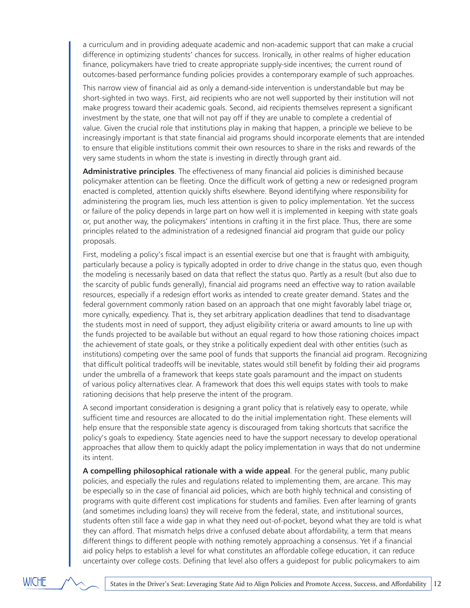a curriculum and in providing adequate academic and non-academic support that can make a crucial difference in optimizing students' chances for success. Ironically, in other realms of higher education finance, policymakers have tried to create appropriate supply-side incentives; the current round of outcomes-based performance funding policies provides a contemporary example of such approaches.

This narrow view of financial aid as only a demand-side intervention is understandable but may be short-sighted in two ways. First, aid recipients who are not well supported by their institution will not make progress toward their academic goals. Second, aid recipients themselves represent a significant investment by the state, one that will not pay off if they are unable to complete a credential of value. Given the crucial role that institutions play in making that happen, a principle we believe to be increasingly important is that state financial aid programs should incorporate elements that are intended to ensure that eligible institutions commit their own resources to share in the risks and rewards of the very same students in whom the state is investing in directly through grant aid.

**Administrative principles**. The effectiveness of many financial aid policies is diminished because policymaker attention can be fleeting. Once the difficult work of getting a new or redesigned program enacted is completed, attention quickly shifts elsewhere. Beyond identifying where responsibility for administering the program lies, much less attention is given to policy implementation. Yet the success or failure of the policy depends in large part on how well it is implemented in keeping with state goals or, put another way, the policymakers' intentions in crafting it in the first place. Thus, there are some principles related to the administration of a redesigned financial aid program that guide our policy proposals.

First, modeling a policy's fiscal impact is an essential exercise but one that is fraught with ambiguity, particularly because a policy is typically adopted in order to drive change in the status quo, even though the modeling is necessarily based on data that reflect the status quo. Partly as a result (but also due to the scarcity of public funds generally), financial aid programs need an effective way to ration available resources, especially if a redesign effort works as intended to create greater demand. States and the federal government commonly ration based on an approach that one might favorably label triage or, more cynically, expediency. That is, they set arbitrary application deadlines that tend to disadvantage the students most in need of support, they adjust eligibility criteria or award amounts to line up with the funds projected to be available but without an equal regard to how those rationing choices impact the achievement of state goals, or they strike a politically expedient deal with other entities (such as institutions) competing over the same pool of funds that supports the financial aid program. Recognizing that difficult political tradeoffs will be inevitable, states would still benefit by folding their aid programs under the umbrella of a framework that keeps state goals paramount and the impact on students of various policy alternatives clear. A framework that does this well equips states with tools to make rationing decisions that help preserve the intent of the program.

A second important consideration is designing a grant policy that is relatively easy to operate, while sufficient time and resources are allocated to do the initial implementation right. These elements will help ensure that the responsible state agency is discouraged from taking shortcuts that sacrifice the policy's goals to expediency. State agencies need to have the support necessary to develop operational approaches that allow them to quickly adapt the policy implementation in ways that do not undermine its intent.

**A compelling philosophical rationale with a wide appeal**. For the general public, many public policies, and especially the rules and regulations related to implementing them, are arcane. This may be especially so in the case of financial aid policies, which are both highly technical and consisting of programs with quite different cost implications for students and families. Even after learning of grants (and sometimes including loans) they will receive from the federal, state, and institutional sources, students often still face a wide gap in what they need out-of-pocket, beyond what they are told is what they can afford. That mismatch helps drive a confused debate about affordability, a term that means different things to different people with nothing remotely approaching a consensus. Yet if a financial aid policy helps to establish a level for what constitutes an affordable college education, it can reduce uncertainty over college costs. Defining that level also offers a guidepost for public policymakers to aim

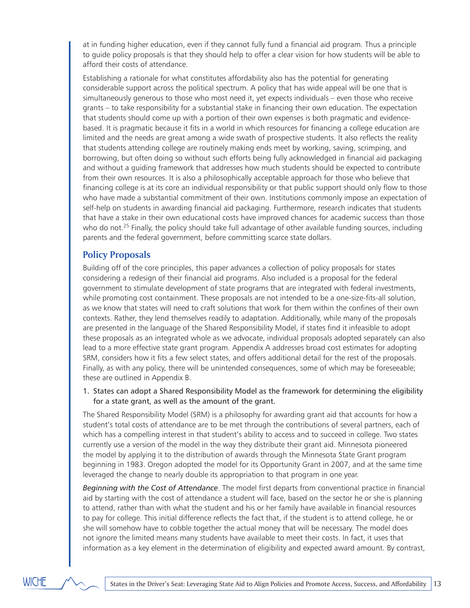at in funding higher education, even if they cannot fully fund a financial aid program. Thus a principle to guide policy proposals is that they should help to offer a clear vision for how students will be able to afford their costs of attendance.

Establishing a rationale for what constitutes affordability also has the potential for generating considerable support across the political spectrum. A policy that has wide appeal will be one that is simultaneously generous to those who most need it, yet expects individuals – even those who receive grants – to take responsibility for a substantial stake in financing their own education. The expectation that students should come up with a portion of their own expenses is both pragmatic and evidencebased. It is pragmatic because it fits in a world in which resources for financing a college education are limited and the needs are great among a wide swath of prospective students. It also reflects the reality that students attending college are routinely making ends meet by working, saving, scrimping, and borrowing, but often doing so without such efforts being fully acknowledged in financial aid packaging and without a guiding framework that addresses how much students should be expected to contribute from their own resources. It is also a philosophically acceptable approach for those who believe that financing college is at its core an individual responsibility or that public support should only flow to those who have made a substantial commitment of their own. Institutions commonly impose an expectation of self-help on students in awarding financial aid packaging. Furthermore, research indicates that students that have a stake in their own educational costs have improved chances for academic success than those who do not.<sup>25</sup> Finally, the policy should take full advantage of other available funding sources, including parents and the federal government, before committing scarce state dollars.

# **Policy Proposals**

Building off of the core principles, this paper advances a collection of policy proposals for states considering a redesign of their financial aid programs. Also included is a proposal for the federal government to stimulate development of state programs that are integrated with federal investments, while promoting cost containment. These proposals are not intended to be a one-size-fits-all solution, as we know that states will need to craft solutions that work for them within the confines of their own contexts. Rather, they lend themselves readily to adaptation. Additionally, while many of the proposals are presented in the language of the Shared Responsibility Model, if states find it infeasible to adopt these proposals as an integrated whole as we advocate, individual proposals adopted separately can also lead to a more effective state grant program. Appendix A addresses broad cost estimates for adopting SRM, considers how it fits a few select states, and offers additional detail for the rest of the proposals. Finally, as with any policy, there will be unintended consequences, some of which may be foreseeable; these are outlined in Appendix B.

1. States can adopt a Shared Responsibility Model as the framework for determining the eligibility for a state grant, as well as the amount of the grant.

The Shared Responsibility Model (SRM) is a philosophy for awarding grant aid that accounts for how a student's total costs of attendance are to be met through the contributions of several partners, each of which has a compelling interest in that student's ability to access and to succeed in college. Two states currently use a version of the model in the way they distribute their grant aid. Minnesota pioneered the model by applying it to the distribution of awards through the Minnesota State Grant program beginning in 1983. Oregon adopted the model for its Opportunity Grant in 2007, and at the same time leveraged the change to nearly double its appropriation to that program in one year.

*Beginning with the Cost of Attendance*. The model first departs from conventional practice in financial aid by starting with the cost of attendance a student will face, based on the sector he or she is planning to attend, rather than with what the student and his or her family have available in financial resources to pay for college. This initial difference reflects the fact that, if the student is to attend college, he or she will somehow have to cobble together the actual money that will be necessary. The model does not ignore the limited means many students have available to meet their costs. In fact, it uses that information as a key element in the determination of eligibility and expected award amount. By contrast,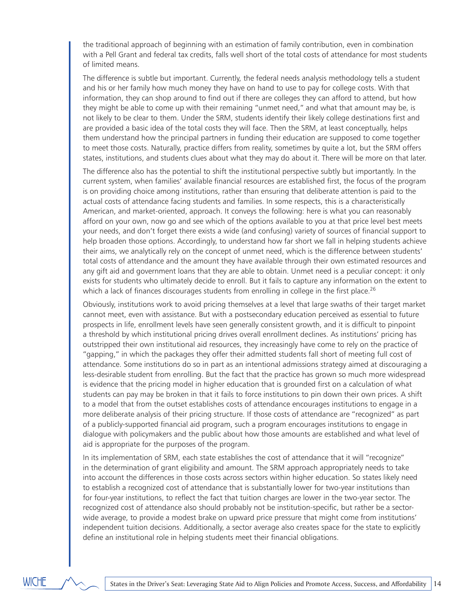the traditional approach of beginning with an estimation of family contribution, even in combination with a Pell Grant and federal tax credits, falls well short of the total costs of attendance for most students of limited means.

The difference is subtle but important. Currently, the federal needs analysis methodology tells a student and his or her family how much money they have on hand to use to pay for college costs. With that information, they can shop around to find out if there are colleges they can afford to attend, but how they might be able to come up with their remaining "unmet need," and what that amount may be, is not likely to be clear to them. Under the SRM, students identify their likely college destinations first and are provided a basic idea of the total costs they will face. Then the SRM, at least conceptually, helps them understand how the principal partners in funding their education are supposed to come together to meet those costs. Naturally, practice differs from reality, sometimes by quite a lot, but the SRM offers states, institutions, and students clues about what they may do about it. There will be more on that later.

The difference also has the potential to shift the institutional perspective subtly but importantly. In the current system, when families' available financial resources are established first, the focus of the program is on providing choice among institutions, rather than ensuring that deliberate attention is paid to the actual costs of attendance facing students and families. In some respects, this is a characteristically American, and market-oriented, approach. It conveys the following: here is what you can reasonably afford on your own, now go and see which of the options available to you at that price level best meets your needs, and don't forget there exists a wide (and confusing) variety of sources of financial support to help broaden those options. Accordingly, to understand how far short we fall in helping students achieve their aims, we analytically rely on the concept of unmet need, which is the difference between students' total costs of attendance and the amount they have available through their own estimated resources and any gift aid and government loans that they are able to obtain. Unmet need is a peculiar concept: it only exists for students who ultimately decide to enroll. But it fails to capture any information on the extent to which a lack of finances discourages students from enrolling in college in the first place.<sup>26</sup>

Obviously, institutions work to avoid pricing themselves at a level that large swaths of their target market cannot meet, even with assistance. But with a postsecondary education perceived as essential to future prospects in life, enrollment levels have seen generally consistent growth, and it is difficult to pinpoint a threshold by which institutional pricing drives overall enrollment declines. As institutions' pricing has outstripped their own institutional aid resources, they increasingly have come to rely on the practice of "gapping," in which the packages they offer their admitted students fall short of meeting full cost of attendance. Some institutions do so in part as an intentional admissions strategy aimed at discouraging a less-desirable student from enrolling. But the fact that the practice has grown so much more widespread is evidence that the pricing model in higher education that is grounded first on a calculation of what students can pay may be broken in that it fails to force institutions to pin down their own prices. A shift to a model that from the outset establishes costs of attendance encourages institutions to engage in a more deliberate analysis of their pricing structure. If those costs of attendance are "recognized" as part of a publicly-supported financial aid program, such a program encourages institutions to engage in dialogue with policymakers and the public about how those amounts are established and what level of aid is appropriate for the purposes of the program.

In its implementation of SRM, each state establishes the cost of attendance that it will "recognize" in the determination of grant eligibility and amount. The SRM approach appropriately needs to take into account the differences in those costs across sectors within higher education. So states likely need to establish a recognized cost of attendance that is substantially lower for two-year institutions than for four-year institutions, to reflect the fact that tuition charges are lower in the two-year sector. The recognized cost of attendance also should probably not be institution-specific, but rather be a sectorwide average, to provide a modest brake on upward price pressure that might come from institutions' independent tuition decisions. Additionally, a sector average also creates space for the state to explicitly define an institutional role in helping students meet their financial obligations.

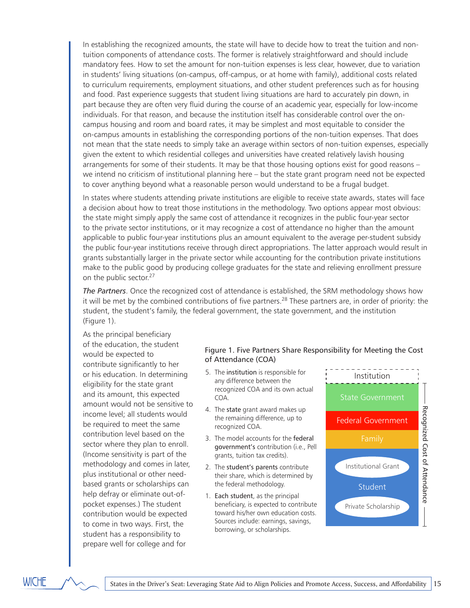In establishing the recognized amounts, the state will have to decide how to treat the tuition and nontuition components of attendance costs. The former is relatively straightforward and should include mandatory fees. How to set the amount for non-tuition expenses is less clear, however, due to variation in students' living situations (on-campus, off-campus, or at home with family), additional costs related to curriculum requirements, employment situations, and other student preferences such as for housing and food. Past experience suggests that student living situations are hard to accurately pin down, in part because they are often very fluid during the course of an academic year, especially for low-income individuals. For that reason, and because the institution itself has considerable control over the oncampus housing and room and board rates, it may be simplest and most equitable to consider the on-campus amounts in establishing the corresponding portions of the non-tuition expenses. That does not mean that the state needs to simply take an average within sectors of non-tuition expenses, especially given the extent to which residential colleges and universities have created relatively lavish housing arrangements for some of their students. It may be that those housing options exist for good reasons – we intend no criticism of institutional planning here – but the state grant program need not be expected to cover anything beyond what a reasonable person would understand to be a frugal budget.

In states where students attending private institutions are eligible to receive state awards, states will face a decision about how to treat those institutions in the methodology. Two options appear most obvious: the state might simply apply the same cost of attendance it recognizes in the public four-year sector to the private sector institutions, or it may recognize a cost of attendance no higher than the amount applicable to public four-year institutions plus an amount equivalent to the average per-student subsidy the public four-year institutions receive through direct appropriations. The latter approach would result in grants substantially larger in the private sector while accounting for the contribution private institutions make to the public good by producing college graduates for the state and relieving enrollment pressure on the public sector.<sup>27</sup>

*The Partners*. Once the recognized cost of attendance is established, the SRM methodology shows how it will be met by the combined contributions of five partners.<sup>28</sup> These partners are, in order of priority: the student, the student's family, the federal government, the state government, and the institution (Figure 1).

As the principal beneficiary of the education, the student would be expected to contribute significantly to her or his education. In determining eligibility for the state grant and its amount, this expected amount would not be sensitive to income level; all students would be required to meet the same contribution level based on the sector where they plan to enroll. (Income sensitivity is part of the methodology and comes in later, plus institutional or other needbased grants or scholarships can help defray or eliminate out-ofpocket expenses.) The student contribution would be expected to come in two ways. First, the student has a responsibility to prepare well for college and for

## Figure 1. Five Partners Share Responsibility for Meeting the Cost of Attendance (COA)

- 5. The institution is responsible for any difference between the recognized COA and its own actual COA.
- 4. The state grant award makes up the remaining difference, up to recognized COA.
- 3. The model accounts for the federal government's contribution (i.e., Pell grants, tuition tax credits).
- 2. The student's parents contribute their share, which is determined by the federal methodology.
- 1. Each student, as the principal beneficiary, is expected to contribute toward his/her own education costs. Sources include: earnings, savings, borrowing, or scholarships.

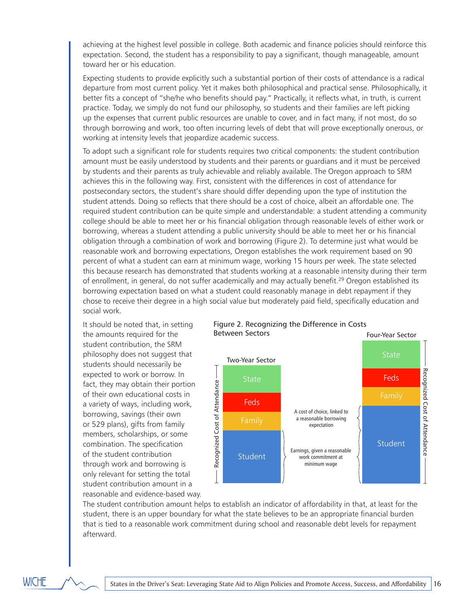achieving at the highest level possible in college. Both academic and finance policies should reinforce this expectation. Second, the student has a responsibility to pay a significant, though manageable, amount toward her or his education.

Expecting students to provide explicitly such a substantial portion of their costs of attendance is a radical departure from most current policy. Yet it makes both philosophical and practical sense. Philosophically, it better fits a concept of "she/he who benefits should pay." Practically, it reflects what, in truth, is current practice. Today, we simply do not fund our philosophy, so students and their families are left picking up the expenses that current public resources are unable to cover, and in fact many, if not most, do so through borrowing and work, too often incurring levels of debt that will prove exceptionally onerous, or working at intensity levels that jeopardize academic success.

To adopt such a significant role for students requires two critical components: the student contribution amount must be easily understood by students and their parents or guardians and it must be perceived by students and their parents as truly achievable and reliably available. The Oregon approach to SRM achieves this in the following way. First, consistent with the differences in cost of attendance for postsecondary sectors, the student's share should differ depending upon the type of institution the student attends. Doing so reflects that there should be a cost of choice, albeit an affordable one. The required student contribution can be quite simple and understandable: a student attending a community college should be able to meet her or his financial obligation through reasonable levels of either work or borrowing, whereas a student attending a public university should be able to meet her or his financial obligation through a combination of work and borrowing (Figure 2). To determine just what would be reasonable work and borrowing expectations, Oregon establishes the work requirement based on 90 percent of what a student can earn at minimum wage, working 15 hours per week. The state selected this because research has demonstrated that students working at a reasonable intensity during their term of enrollment, in general, do not suffer academically and may actually benefit.<sup>29</sup> Oregon established its borrowing expectation based on what a student could reasonably manage in debt repayment if they chose to receive their degree in a high social value but moderately paid field, specifically education and social work.

It should be noted that, in setting the amounts required for the student contribution, the SRM philosophy does not suggest that students should necessarily be expected to work or borrow. In fact, they may obtain their portion of their own educational costs in a variety of ways, including work, borrowing, savings (their own or 529 plans), gifts from family members, scholarships, or some combination. The specification of the student contribution through work and borrowing is only relevant for setting the total student contribution amount in a reasonable and evidence-based way.



The student contribution amount helps to establish an indicator of affordability in that, at least for the student, there is an upper boundary for what the state believes to be an appropriate financial burden that is tied to a reasonable work commitment during school and reasonable debt levels for repayment afterward.

**WICHE**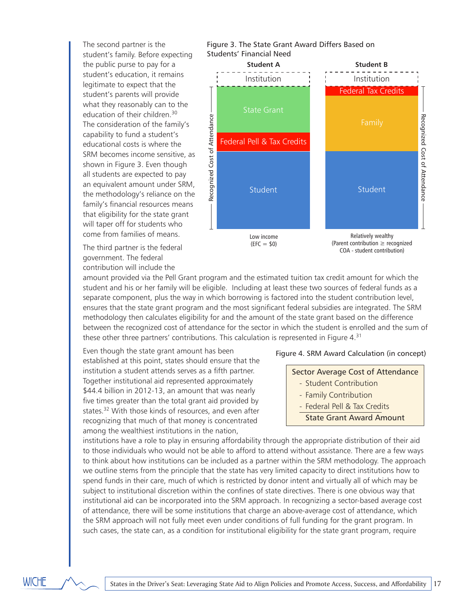The second partner is the student's family. Before expecting the public purse to pay for a student's education, it remains legitimate to expect that the student's parents will provide what they reasonably can to the education of their children.<sup>30</sup> The consideration of the family's capability to fund a student's educational costs is where the SRM becomes income sensitive, as shown in Figure 3. Even though all students are expected to pay an equivalent amount under SRM, the methodology's reliance on the family's financial resources means that eligibility for the state grant will taper off for students who come from families of means.

The third partner is the federal government. The federal contribution will include the





amount provided via the Pell Grant program and the estimated tuition tax credit amount for which the student and his or her family will be eligible. Including at least these two sources of federal funds as a separate component, plus the way in which borrowing is factored into the student contribution level, ensures that the state grant program and the most significant federal subsidies are integrated. The SRM methodology then calculates eligibility for and the amount of the state grant based on the difference between the recognized cost of attendance for the sector in which the student is enrolled and the sum of these other three partners' contributions. This calculation is represented in Figure  $4^{31}$ 

Even though the state grant amount has been established at this point, states should ensure that the institution a student attends serves as a fifth partner. Together institutional aid represented approximately \$44.4 billion in 2012-13, an amount that was nearly five times greater than the total grant aid provided by states.<sup>32</sup> With those kinds of resources, and even after recognizing that much of that money is concentrated among the wealthiest institutions in the nation,

Figure 4. SRM Award Calculation (in concept)

#### Sector Average Cost of Attendance

- Student Contribution
- Family Contribution
- Federal Pell & Tax Credits
	- State Grant Award Amount

institutions have a role to play in ensuring affordability through the appropriate distribution of their aid to those individuals who would not be able to afford to attend without assistance. There are a few ways to think about how institutions can be included as a partner within the SRM methodology. The approach we outline stems from the principle that the state has very limited capacity to direct institutions how to spend funds in their care, much of which is restricted by donor intent and virtually all of which may be subject to institutional discretion within the confines of state directives. There is one obvious way that institutional aid can be incorporated into the SRM approach. In recognizing a sector-based average cost of attendance, there will be some institutions that charge an above-average cost of attendance, which the SRM approach will not fully meet even under conditions of full funding for the grant program. In such cases, the state can, as a condition for institutional eligibility for the state grant program, require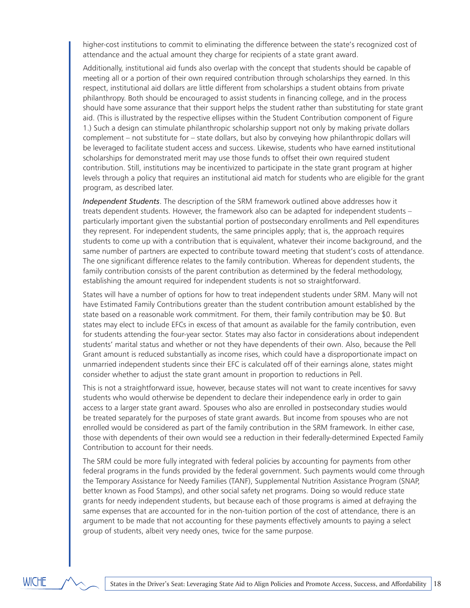higher-cost institutions to commit to eliminating the difference between the state's recognized cost of attendance and the actual amount they charge for recipients of a state grant award.

Additionally, institutional aid funds also overlap with the concept that students should be capable of meeting all or a portion of their own required contribution through scholarships they earned. In this respect, institutional aid dollars are little different from scholarships a student obtains from private philanthropy. Both should be encouraged to assist students in financing college, and in the process should have some assurance that their support helps the student rather than substituting for state grant aid. (This is illustrated by the respective ellipses within the Student Contribution component of Figure 1.) Such a design can stimulate philanthropic scholarship support not only by making private dollars complement – not substitute for – state dollars, but also by conveying how philanthropic dollars will be leveraged to facilitate student access and success. Likewise, students who have earned institutional scholarships for demonstrated merit may use those funds to offset their own required student contribution. Still, institutions may be incentivized to participate in the state grant program at higher levels through a policy that requires an institutional aid match for students who are eligible for the grant program, as described later.

*Independent Students*. The description of the SRM framework outlined above addresses how it treats dependent students. However, the framework also can be adapted for independent students – particularly important given the substantial portion of postsecondary enrollments and Pell expenditures they represent. For independent students, the same principles apply; that is, the approach requires students to come up with a contribution that is equivalent, whatever their income background, and the same number of partners are expected to contribute toward meeting that student's costs of attendance. The one significant difference relates to the family contribution. Whereas for dependent students, the family contribution consists of the parent contribution as determined by the federal methodology, establishing the amount required for independent students is not so straightforward.

States will have a number of options for how to treat independent students under SRM. Many will not have Estimated Family Contributions greater than the student contribution amount established by the state based on a reasonable work commitment. For them, their family contribution may be \$0. But states may elect to include EFCs in excess of that amount as available for the family contribution, even for students attending the four-year sector. States may also factor in considerations about independent students' marital status and whether or not they have dependents of their own. Also, because the Pell Grant amount is reduced substantially as income rises, which could have a disproportionate impact on unmarried independent students since their EFC is calculated off of their earnings alone, states might consider whether to adjust the state grant amount in proportion to reductions in Pell.

This is not a straightforward issue, however, because states will not want to create incentives for savvy students who would otherwise be dependent to declare their independence early in order to gain access to a larger state grant award. Spouses who also are enrolled in postsecondary studies would be treated separately for the purposes of state grant awards. But income from spouses who are not enrolled would be considered as part of the family contribution in the SRM framework. In either case, those with dependents of their own would see a reduction in their federally-determined Expected Family Contribution to account for their needs.

The SRM could be more fully integrated with federal policies by accounting for payments from other federal programs in the funds provided by the federal government. Such payments would come through the Temporary Assistance for Needy Families (TANF), Supplemental Nutrition Assistance Program (SNAP, better known as Food Stamps), and other social safety net programs. Doing so would reduce state grants for needy independent students, but because each of those programs is aimed at defraying the same expenses that are accounted for in the non-tuition portion of the cost of attendance, there is an argument to be made that not accounting for these payments effectively amounts to paying a select group of students, albeit very needy ones, twice for the same purpose.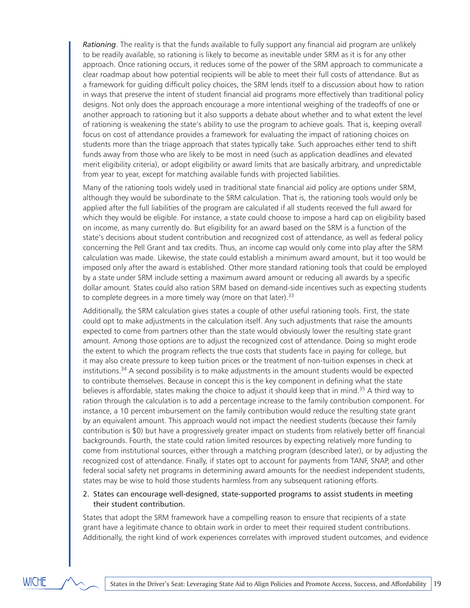*Rationing*. The reality is that the funds available to fully support any financial aid program are unlikely to be readily available, so rationing is likely to become as inevitable under SRM as it is for any other approach. Once rationing occurs, it reduces some of the power of the SRM approach to communicate a clear roadmap about how potential recipients will be able to meet their full costs of attendance. But as a framework for guiding difficult policy choices, the SRM lends itself to a discussion about how to ration in ways that preserve the intent of student financial aid programs more effectively than traditional policy designs. Not only does the approach encourage a more intentional weighing of the tradeoffs of one or another approach to rationing but it also supports a debate about whether and to what extent the level of rationing is weakening the state's ability to use the program to achieve goals. That is, keeping overall focus on cost of attendance provides a framework for evaluating the impact of rationing choices on students more than the triage approach that states typically take. Such approaches either tend to shift funds away from those who are likely to be most in need (such as application deadlines and elevated merit eligibility criteria), or adopt eligibility or award limits that are basically arbitrary, and unpredictable from year to year, except for matching available funds with projected liabilities.

Many of the rationing tools widely used in traditional state financial aid policy are options under SRM, although they would be subordinate to the SRM calculation. That is, the rationing tools would only be applied after the full liabilities of the program are calculated if all students received the full award for which they would be eligible. For instance, a state could choose to impose a hard cap on eligibility based on income, as many currently do. But eligibility for an award based on the SRM is a function of the state's decisions about student contribution and recognized cost of attendance, as well as federal policy concerning the Pell Grant and tax credits. Thus, an income cap would only come into play after the SRM calculation was made. Likewise, the state could establish a minimum award amount, but it too would be imposed only after the award is established. Other more standard rationing tools that could be employed by a state under SRM include setting a maximum award amount or reducing all awards by a specific dollar amount. States could also ration SRM based on demand-side incentives such as expecting students to complete degrees in a more timely way (more on that later).<sup>33</sup>

Additionally, the SRM calculation gives states a couple of other useful rationing tools. First, the state could opt to make adjustments in the calculation itself. Any such adjustments that raise the amounts expected to come from partners other than the state would obviously lower the resulting state grant amount. Among those options are to adjust the recognized cost of attendance. Doing so might erode the extent to which the program reflects the true costs that students face in paying for college, but it may also create pressure to keep tuition prices or the treatment of non-tuition expenses in check at institutions.<sup>34</sup> A second possibility is to make adjustments in the amount students would be expected to contribute themselves. Because in concept this is the key component in defining what the state believes is affordable, states making the choice to adjust it should keep that in mind.<sup>35</sup> A third way to ration through the calculation is to add a percentage increase to the family contribution component. For instance, a 10 percent imbursement on the family contribution would reduce the resulting state grant by an equivalent amount. This approach would not impact the neediest students (because their family contribution is \$0) but have a progressively greater impact on students from relatively better off financial backgrounds. Fourth, the state could ration limited resources by expecting relatively more funding to come from institutional sources, either through a matching program (described later), or by adjusting the recognized cost of attendance. Finally, if states opt to account for payments from TANF, SNAP, and other federal social safety net programs in determining award amounts for the neediest independent students, states may be wise to hold those students harmless from any subsequent rationing efforts.

## 2. States can encourage well-designed, state-supported programs to assist students in meeting their student contribution.

States that adopt the SRM framework have a compelling reason to ensure that recipients of a state grant have a legitimate chance to obtain work in order to meet their required student contributions. Additionally, the right kind of work experiences correlates with improved student outcomes, and evidence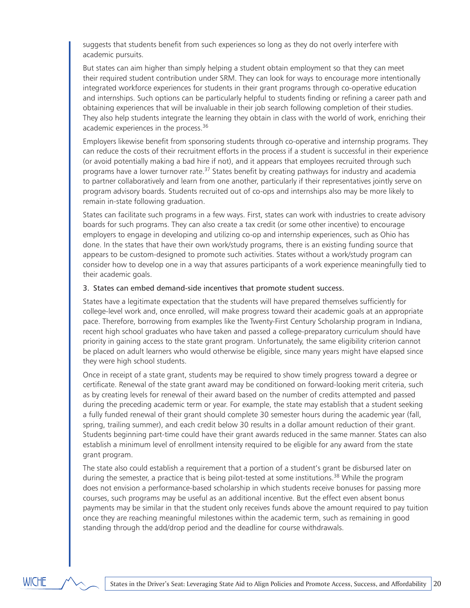suggests that students benefit from such experiences so long as they do not overly interfere with academic pursuits.

But states can aim higher than simply helping a student obtain employment so that they can meet their required student contribution under SRM. They can look for ways to encourage more intentionally integrated workforce experiences for students in their grant programs through co-operative education and internships. Such options can be particularly helpful to students finding or refining a career path and obtaining experiences that will be invaluable in their job search following completion of their studies. They also help students integrate the learning they obtain in class with the world of work, enriching their academic experiences in the process.<sup>36</sup>

Employers likewise benefit from sponsoring students through co-operative and internship programs. They can reduce the costs of their recruitment efforts in the process if a student is successful in their experience (or avoid potentially making a bad hire if not), and it appears that employees recruited through such programs have a lower turnover rate.<sup>37</sup> States benefit by creating pathways for industry and academia to partner collaboratively and learn from one another, particularly if their representatives jointly serve on program advisory boards. Students recruited out of co-ops and internships also may be more likely to remain in-state following graduation.

States can facilitate such programs in a few ways. First, states can work with industries to create advisory boards for such programs. They can also create a tax credit (or some other incentive) to encourage employers to engage in developing and utilizing co-op and internship experiences, such as Ohio has done. In the states that have their own work/study programs, there is an existing funding source that appears to be custom-designed to promote such activities. States without a work/study program can consider how to develop one in a way that assures participants of a work experience meaningfully tied to their academic goals.

#### 3. States can embed demand-side incentives that promote student success.

States have a legitimate expectation that the students will have prepared themselves sufficiently for college-level work and, once enrolled, will make progress toward their academic goals at an appropriate pace. Therefore, borrowing from examples like the Twenty-First Century Scholarship program in Indiana, recent high school graduates who have taken and passed a college-preparatory curriculum should have priority in gaining access to the state grant program. Unfortunately, the same eligibility criterion cannot be placed on adult learners who would otherwise be eligible, since many years might have elapsed since they were high school students.

Once in receipt of a state grant, students may be required to show timely progress toward a degree or certificate. Renewal of the state grant award may be conditioned on forward-looking merit criteria, such as by creating levels for renewal of their award based on the number of credits attempted and passed during the preceding academic term or year. For example, the state may establish that a student seeking a fully funded renewal of their grant should complete 30 semester hours during the academic year (fall, spring, trailing summer), and each credit below 30 results in a dollar amount reduction of their grant. Students beginning part-time could have their grant awards reduced in the same manner. States can also establish a minimum level of enrollment intensity required to be eligible for any award from the state grant program.

The state also could establish a requirement that a portion of a student's grant be disbursed later on during the semester, a practice that is being pilot-tested at some institutions.<sup>38</sup> While the program does not envision a performance-based scholarship in which students receive bonuses for passing more courses, such programs may be useful as an additional incentive. But the effect even absent bonus payments may be similar in that the student only receives funds above the amount required to pay tuition once they are reaching meaningful milestones within the academic term, such as remaining in good standing through the add/drop period and the deadline for course withdrawals.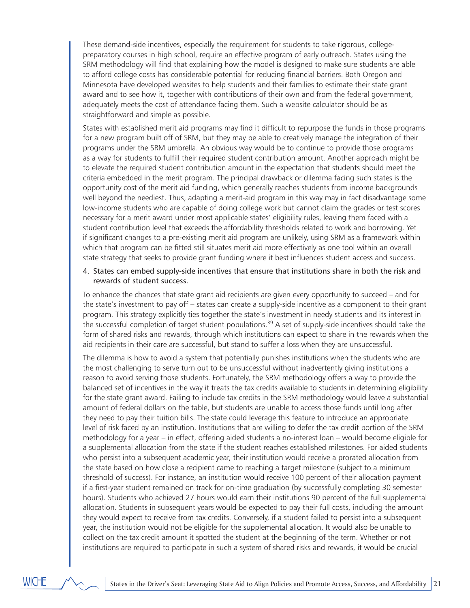These demand-side incentives, especially the requirement for students to take rigorous, collegepreparatory courses in high school, require an effective program of early outreach. States using the SRM methodology will find that explaining how the model is designed to make sure students are able to afford college costs has considerable potential for reducing financial barriers. Both Oregon and Minnesota have developed websites to help students and their families to estimate their state grant award and to see how it, together with contributions of their own and from the federal government, adequately meets the cost of attendance facing them. Such a website calculator should be as straightforward and simple as possible.

States with established merit aid programs may find it difficult to repurpose the funds in those programs for a new program built off of SRM, but they may be able to creatively manage the integration of their programs under the SRM umbrella. An obvious way would be to continue to provide those programs as a way for students to fulfill their required student contribution amount. Another approach might be to elevate the required student contribution amount in the expectation that students should meet the criteria embedded in the merit program. The principal drawback or dilemma facing such states is the opportunity cost of the merit aid funding, which generally reaches students from income backgrounds well beyond the neediest. Thus, adapting a merit-aid program in this way may in fact disadvantage some low-income students who are capable of doing college work but cannot claim the grades or test scores necessary for a merit award under most applicable states' eligibility rules, leaving them faced with a student contribution level that exceeds the affordability thresholds related to work and borrowing. Yet if significant changes to a pre-existing merit aid program are unlikely, using SRM as a framework within which that program can be fitted still situates merit aid more effectively as one tool within an overall state strategy that seeks to provide grant funding where it best influences student access and success.

#### 4. States can embed supply-side incentives that ensure that institutions share in both the risk and rewards of student success.

To enhance the chances that state grant aid recipients are given every opportunity to succeed – and for the state's investment to pay off – states can create a supply-side incentive as a component to their grant program. This strategy explicitly ties together the state's investment in needy students and its interest in the successful completion of target student populations.<sup>39</sup> A set of supply-side incentives should take the form of shared risks and rewards, through which institutions can expect to share in the rewards when the aid recipients in their care are successful, but stand to suffer a loss when they are unsuccessful.

The dilemma is how to avoid a system that potentially punishes institutions when the students who are the most challenging to serve turn out to be unsuccessful without inadvertently giving institutions a reason to avoid serving those students. Fortunately, the SRM methodology offers a way to provide the balanced set of incentives in the way it treats the tax credits available to students in determining eligibility for the state grant award. Failing to include tax credits in the SRM methodology would leave a substantial amount of federal dollars on the table, but students are unable to access those funds until long after they need to pay their tuition bills. The state could leverage this feature to introduce an appropriate level of risk faced by an institution. Institutions that are willing to defer the tax credit portion of the SRM methodology for a year – in effect, offering aided students a no-interest loan – would become eligible for a supplemental allocation from the state if the student reaches established milestones. For aided students who persist into a subsequent academic year, their institution would receive a prorated allocation from the state based on how close a recipient came to reaching a target milestone (subject to a minimum threshold of success). For instance, an institution would receive 100 percent of their allocation payment if a first-year student remained on track for on-time graduation (by successfully completing 30 semester hours). Students who achieved 27 hours would earn their institutions 90 percent of the full supplemental allocation. Students in subsequent years would be expected to pay their full costs, including the amount they would expect to receive from tax credits. Conversely, if a student failed to persist into a subsequent year, the institution would not be eligible for the supplemental allocation. It would also be unable to collect on the tax credit amount it spotted the student at the beginning of the term. Whether or not institutions are required to participate in such a system of shared risks and rewards, it would be crucial

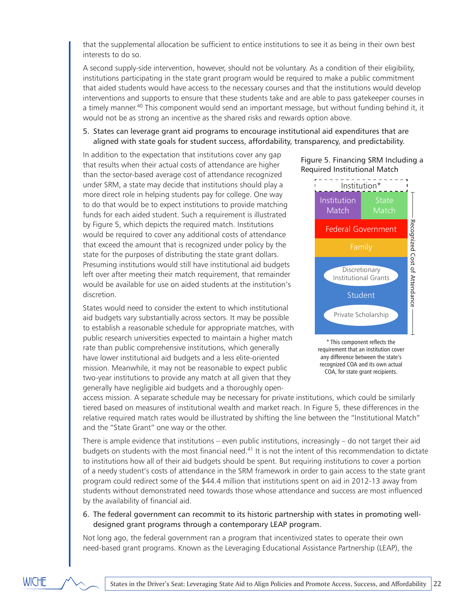that the supplemental allocation be sufficient to entice institutions to see it as being in their own best interests to do so.

A second supply-side intervention, however, should not be voluntary. As a condition of their eligibility, institutions participating in the state grant program would be required to make a public commitment that aided students would have access to the necessary courses and that the institutions would develop interventions and supports to ensure that these students take and are able to pass gatekeeper courses in a timely manner.40 This component would send an important message, but without funding behind it, it would not be as strong an incentive as the shared risks and rewards option above.

## 5. States can leverage grant aid programs to encourage institutional aid expenditures that are aligned with state goals for student success, affordability, transparency, and predictability.

In addition to the expectation that institutions cover any gap that results when their actual costs of attendance are higher than the sector-based average cost of attendance recognized under SRM, a state may decide that institutions should play a more direct role in helping students pay for college. One way to do that would be to expect institutions to provide matching funds for each aided student. Such a requirement is illustrated by Figure 5, which depicts the required match. Institutions would be required to cover any additional costs of attendance that exceed the amount that is recognized under policy by the state for the purposes of distributing the state grant dollars. Presuming institutions would still have institutional aid budgets left over after meeting their match requirement, that remainder would be available for use on aided students at the institution's discretion.

States would need to consider the extent to which institutional aid budgets vary substantially across sectors. It may be possible to establish a reasonable schedule for appropriate matches, with public research universities expected to maintain a higher match rate than public comprehensive institutions, which generally have lower institutional aid budgets and a less elite-oriented mission. Meanwhile, it may not be reasonable to expect public two-year institutions to provide any match at all given that they generally have negligible aid budgets and a thoroughly open-

## Figure 5. Financing SRM Including a Required Institutional Match



\* This component reflects the requirement that an institution cover any difference between the state's recognized COA and its own actual COA, for state grant recipients.

access mission. A separate schedule may be necessary for private institutions, which could be similarly tiered based on measures of institutional wealth and market reach. In Figure 5, these differences in the relative required match rates would be illustrated by shifting the line between the "Institutional Match" and the "State Grant" one way or the other.

There is ample evidence that institutions – even public institutions, increasingly – do not target their aid budgets on students with the most financial need.<sup>41</sup> It is not the intent of this recommendation to dictate to institutions how all of their aid budgets should be spent. But requiring institutions to cover a portion of a needy student's costs of attendance in the SRM framework in order to gain access to the state grant program could redirect some of the \$44.4 million that institutions spent on aid in 2012-13 away from students without demonstrated need towards those whose attendance and success are most influenced by the availability of financial aid.

## 6. The federal government can recommit to its historic partnership with states in promoting welldesigned grant programs through a contemporary LEAP program.

Not long ago, the federal government ran a program that incentivized states to operate their own need-based grant programs. Known as the Leveraging Educational Assistance Partnership (LEAP), the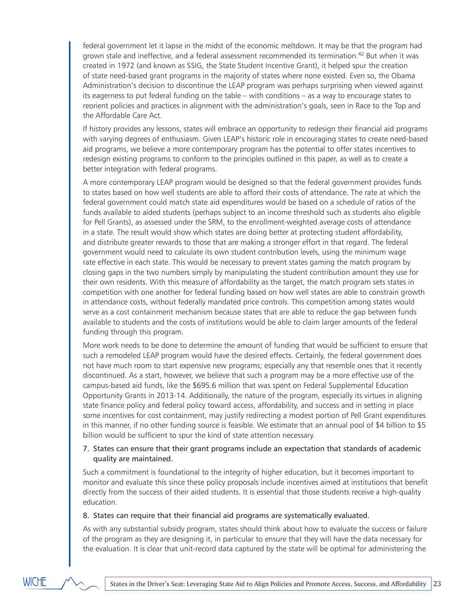federal government let it lapse in the midst of the economic meltdown. It may be that the program had grown stale and ineffective, and a federal assessment recommended its termination.42 But when it was created in 1972 (and known as SSIG, the State Student Incentive Grant), it helped spur the creation of state need-based grant programs in the majority of states where none existed. Even so, the Obama Administration's decision to discontinue the LEAP program was perhaps surprising when viewed against its eagerness to put federal funding on the table – with conditions – as a way to encourage states to reorient policies and practices in alignment with the administration's goals, seen in Race to the Top and the Affordable Care Act.

If history provides any lessons, states will embrace an opportunity to redesign their financial aid programs with varying degrees of enthusiasm. Given LEAP's historic role in encouraging states to create need-based aid programs, we believe a more contemporary program has the potential to offer states incentives to redesign existing programs to conform to the principles outlined in this paper, as well as to create a better integration with federal programs.

A more contemporary LEAP program would be designed so that the federal government provides funds to states based on how well students are able to afford their costs of attendance. The rate at which the federal government could match state aid expenditures would be based on a schedule of ratios of the funds available to aided students (perhaps subject to an income threshold such as students also eligible for Pell Grants), as assessed under the SRM, to the enrollment-weighted average costs of attendance in a state. The result would show which states are doing better at protecting student affordability, and distribute greater rewards to those that are making a stronger effort in that regard. The federal government would need to calculate its own student contribution levels, using the minimum wage rate effective in each state. This would be necessary to prevent states gaming the match program by closing gaps in the two numbers simply by manipulating the student contribution amount they use for their own residents. With this measure of affordability as the target, the match program sets states in competition with one another for federal funding based on how well states are able to constrain growth in attendance costs, without federally mandated price controls. This competition among states would serve as a cost containment mechanism because states that are able to reduce the gap between funds available to students and the costs of institutions would be able to claim larger amounts of the federal funding through this program.

More work needs to be done to determine the amount of funding that would be sufficient to ensure that such a remodeled LEAP program would have the desired effects. Certainly, the federal government does not have much room to start expensive new programs; especially any that resemble ones that it recently discontinued. As a start, however, we believe that such a program may be a more effective use of the campus-based aid funds, like the \$695.6 million that was spent on Federal Supplemental Education Opportunity Grants in 2013-14. Additionally, the nature of the program, especially its virtues in aligning state finance policy and federal policy toward access, affordability, and success and in setting in place some incentives for cost containment, may justify redirecting a modest portion of Pell Grant expenditures in this manner, if no other funding source is feasible. We estimate that an annual pool of \$4 billion to \$5 billion would be sufficient to spur the kind of state attention necessary.

## 7. States can ensure that their grant programs include an expectation that standards of academic quality are maintained.

Such a commitment is foundational to the integrity of higher education, but it becomes important to monitor and evaluate this since these policy proposals include incentives aimed at institutions that benefit directly from the success of their aided students. It is essential that those students receive a high-quality education.

## 8. States can require that their financial aid programs are systematically evaluated.

As with any substantial subsidy program, states should think about how to evaluate the success or failure of the program as they are designing it, in particular to ensure that they will have the data necessary for the evaluation. It is clear that unit-record data captured by the state will be optimal for administering the

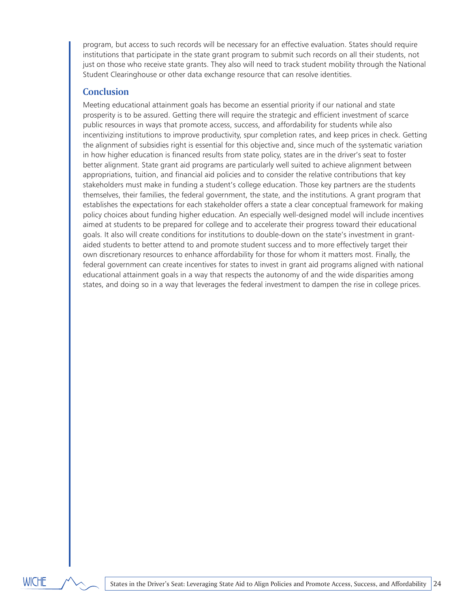program, but access to such records will be necessary for an effective evaluation. States should require institutions that participate in the state grant program to submit such records on all their students, not just on those who receive state grants. They also will need to track student mobility through the National Student Clearinghouse or other data exchange resource that can resolve identities.

## **Conclusion**

Meeting educational attainment goals has become an essential priority if our national and state prosperity is to be assured. Getting there will require the strategic and efficient investment of scarce public resources in ways that promote access, success, and affordability for students while also incentivizing institutions to improve productivity, spur completion rates, and keep prices in check. Getting the alignment of subsidies right is essential for this objective and, since much of the systematic variation in how higher education is financed results from state policy, states are in the driver's seat to foster better alignment. State grant aid programs are particularly well suited to achieve alignment between appropriations, tuition, and financial aid policies and to consider the relative contributions that key stakeholders must make in funding a student's college education. Those key partners are the students themselves, their families, the federal government, the state, and the institutions. A grant program that establishes the expectations for each stakeholder offers a state a clear conceptual framework for making policy choices about funding higher education. An especially well-designed model will include incentives aimed at students to be prepared for college and to accelerate their progress toward their educational goals. It also will create conditions for institutions to double-down on the state's investment in grantaided students to better attend to and promote student success and to more effectively target their own discretionary resources to enhance affordability for those for whom it matters most. Finally, the federal government can create incentives for states to invest in grant aid programs aligned with national educational attainment goals in a way that respects the autonomy of and the wide disparities among states, and doing so in a way that leverages the federal investment to dampen the rise in college prices.

**WICHE**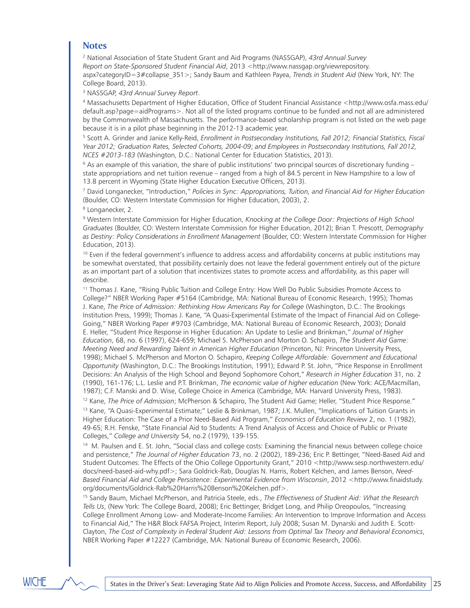## **Notes**

2 National Association of State Student Grant and Aid Programs (NASSGAP), *43rd Annual Survey Report on State-Sponsored Student Financial Aid*, 2013 <http://www.nassgap.org/viewrepository. aspx?categoryID=3#collapse\_351>; Sandy Baum and Kathleen Payea, *Trends in Student Aid* (New York, NY: The College Board, 2013).

3 NASSGAP, *43rd Annual Survey Report*.

4 Massachusetts Department of Higher Education, Office of Student Financial Assistance <http://www.osfa.mass.edu/ default.asp?page=aidPrograms>. Not all of the listed programs continue to be funded and not all are administered by the Commonwealth of Massachusetts. The performance-based scholarship program is not listed on the web page because it is in a pilot phase beginning in the 2012-13 academic year.

5 Scott A. Grinder and Janice Kelly-Reid, *Enrollment in Postsecondary Institutions, Fall 2012; Financial Statistics, Fiscal Year 2012; Graduation Rates, Selected Cohorts, 2004-09*; *and Employees in Postsecondary Institutions, Fall 2012, NCES #2013-183* (Washington, D.C.: National Center for Education Statistics, 2013).

 $6$  As an example of this variation, the share of public institutions' two principal sources of discretionary funding  $$ state appropriations and net tuition revenue – ranged from a high of 84.5 percent in New Hampshire to a low of 13.8 percent in Wyoming (State Higher Education Executive Officers, 2013).

7 David Longanecker, "Introduction," *Policies in Sync: Appropriations, Tuition, and Financial Aid for Higher Education*  (Boulder, CO: Western Interstate Commission for Higher Education, 2003), 2.

8 Longanecker, 2.

9 Western Interstate Commission for Higher Education, *Knocking at the College Door: Projections of High School Graduates* (Boulder, CO: Western Interstate Commission for Higher Education, 2012); Brian T. Prescott, *Demography as Destiny: Policy Considerations in Enrollment Management* (Boulder, CO: Western Interstate Commission for Higher Education, 2013).

<sup>10</sup> Even if the federal government's influence to address access and affordability concerns at public institutions may be somewhat overstated, that possibility certainly does not leave the federal government entirely out of the picture as an important part of a solution that incentivizes states to promote access and affordability, as this paper will describe.

11 Thomas J. Kane, "Rising Public Tuition and College Entry: How Well Do Public Subsidies Promote Access to College?" NBER Working Paper #5164 (Cambridge, MA: National Bureau of Economic Research, 1995); Thomas J. Kane, *The Price of Admission: Rethinking How Americans Pay for College* (Washington, D.C.: The Brookings Institution Press, 1999); Thomas J. Kane, "A Quasi-Experimental Estimate of the Impact of Financial Aid on College-Going," NBER Working Paper #9703 (Cambridge, MA: National Bureau of Economic Research, 2003); Donald E. Heller, "Student Price Response in Higher Education: An Update to Leslie and Brinkman," *Journal of Higher Education*, 68, no. 6 (1997), 624-659; Michael S. McPherson and Morton O. Schapiro, *The Student Aid Game: Meeting Need and Rewarding Talent in American Higher Education* (Princeton, NJ: Princeton University Press, 1998); Michael S. McPherson and Morton O. Schapiro, *Keeping College Affordable: Government and Educational Opportunity* (Washington, D.C.: The Brookings Institution, 1991); Edward P. St. John, "Price Response in Enrollment Decisions: An Analysis of the High School and Beyond Sophomore Cohort," *Research in Higher Education* 31, no. 2 (1990), 161-176; L.L. Leslie and P.T. Brinkman, *The economic value of higher education* (New York: ACE/Macmillan, 1987); C.F. Manski and D. Wise, College Choice in America (Cambridge, MA: Harvard University Press, 1983).

12 Kane, *The Price of Admission*; McPherson & Schapiro, The Student Aid Game; Heller, "Student Price Response." <sup>13</sup> Kane, "A Quasi-Experimental Estimate;" Leslie & Brinkman, 1987; J.K. Mullen, "Implications of Tuition Grants in Higher Education: The Case of a Prior Need-Based Aid Program," *Economics of Education Review* 2, no. 1 (1982), 49-65; R.H. Fenske, "State Financial Aid to Students: A Trend Analysis of Access and Choice of Public or Private Colleges," *College and University* 54, no.2 (1979), 139-155.

<sup>14</sup> M. Paulsen and E. St. John, "Social class and college costs: Examining the financial nexus between college choice and persistence," *The Journal of Higher Education* 73, no. 2 (2002), 189-236; Eric P. Bettinger, "Need-Based Aid and Student Outcomes: The Effects of the Ohio College Opportunity Grant," 2010 <http://www.sesp.northwestern.edu/ docs/need-based-aid-why.pdf>; Sara Goldrick-Rab, Douglas N. Harris, Robert Kelchen, and James Benson, *Need-Based Financial Aid and College Persistence: Experimental Evidence from Wisconsin*, 2012 <http://www.finaidstudy. org/documents/Goldrick-Rab%20Harris%20Benson%20Kelchen.pdf>.

15 Sandy Baum, Michael McPherson, and Patricia Steele, eds., *The Effectiveness of Student Aid: What the Research Tells Us*, (New York: The College Board, 2008); Eric Bettinger, Bridget Long, and Philip Oreopoulos, "Increasing College Enrollment Among Low- and Moderate-Income Families: An Intervention to Improve Information and Access to Financial Aid," The H&R Block FAFSA Project, Interim Report, July 2008; Susan M. Dynarski and Judith E. Scott-Clayton, *The Cost of Complexity in Federal Student Aid: Lessons from Optimal Tax Theory and Behavioral Economics*, NBER Working Paper #12227 (Cambridge, MA: National Bureau of Economic Research, 2006).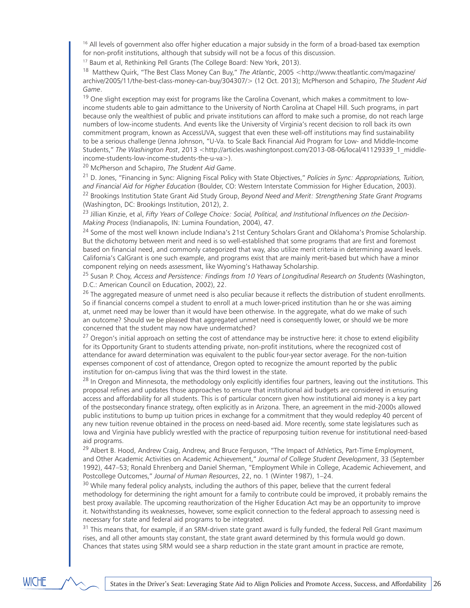<sup>16</sup> All levels of government also offer higher education a major subsidy in the form of a broad-based tax exemption for non-profit institutions, although that subsidy will not be a focus of this discussion.

<sup>17</sup> Baum et al, Rethinking Pell Grants (The College Board: New York, 2013).

18 Matthew Quirk, "The Best Class Money Can Buy," *The Atlantic*, 2005 <http://www.theatlantic.com/magazine/ archive/2005/11/the-best-class-money-can-buy/304307/> (12 Oct. 2013); McPherson and Schapiro, *The Student Aid Game*.

<sup>19</sup> One slight exception may exist for programs like the Carolina Covenant, which makes a commitment to lowincome students able to gain admittance to the University of North Carolina at Chapel Hill. Such programs, in part because only the wealthiest of public and private institutions can afford to make such a promise, do not reach large numbers of low-income students. And events like the University of Virginia's recent decision to roll back its own commitment program, known as AccessUVA, suggest that even these well-off institutions may find sustainability to be a serious challenge (Jenna Johnson, "U-Va. to Scale Back Financial Aid Program for Low- and Middle-Income Students," *The Washington Post*, 2013 <http://articles.washingtonpost.com/2013-08-06/local/41129339\_1\_middleincome-students-low-income-students-the-u-va>).

20 McPherson and Schapiro, *The Student Aid Game*.

21 D. Jones, "Financing in Sync: Aligning Fiscal Policy with State Objectives," *Policies in Sync: Appropriations, Tuition, and Financial Aid for Higher Education* (Boulder, CO: Western Interstate Commission for Higher Education, 2003). 22 Brookings Institution State Grant Aid Study Group, *Beyond Need and Merit: Strengthening State Grant Programs*  (Washington, DC: Brookings Institution, 2012), 2.

23 Jillian Kinzie, et al, *Fifty Years of College Choice: Social, Political, and Institutional Influences on the Decision-Making Process* (Indianapolis, IN: Lumina Foundation, 2004), 47.

<sup>24</sup> Some of the most well known include Indiana's 21st Century Scholars Grant and Oklahoma's Promise Scholarship. But the dichotomy between merit and need is so well-established that some programs that are first and foremost based on financial need, and commonly categorized that way, also utilize merit criteria in determining award levels. California's CalGrant is one such example, and programs exist that are mainly merit-based but which have a minor component relying on needs assessment, like Wyoming's Hathaway Scholarship.

<sup>25</sup> Susan P. Choy, *Access and Persistence: Findings from 10 Years of Longitudinal Research on Students (Washington,* D.C.: American Council on Education, 2002), 22.

<sup>26</sup> The aggregated measure of unmet need is also peculiar because it reflects the distribution of student enrollments. So if financial concerns compel a student to enroll at a much lower-priced institution than he or she was aiming at, unmet need may be lower than it would have been otherwise. In the aggregate, what do we make of such an outcome? Should we be pleased that aggregated unmet need is consequently lower, or should we be more concerned that the student may now have undermatched?

 $27$  Oregon's initial approach on setting the cost of attendance may be instructive here: it chose to extend eligibility for its Opportunity Grant to students attending private, non-profit institutions, where the recognized cost of attendance for award determination was equivalent to the public four-year sector average. For the non-tuition expenses component of cost of attendance, Oregon opted to recognize the amount reported by the public institution for on-campus living that was the third lowest in the state.

<sup>28</sup> In Oregon and Minnesota, the methodology only explicitly identifies four partners, leaving out the institutions. This proposal refines and updates those approaches to ensure that institutional aid budgets are considered in ensuring access and affordability for all students. This is of particular concern given how institutional aid money is a key part of the postsecondary finance strategy, often explicitly as in Arizona. There, an agreement in the mid-2000s allowed public institutions to bump up tuition prices in exchange for a commitment that they would redeploy 40 percent of any new tuition revenue obtained in the process on need-based aid. More recently, some state legislatures such as Iowa and Virginia have publicly wrestled with the practice of repurposing tuition revenue for institutional need-based aid programs.

<sup>29</sup> Albert B. Hood, Andrew Craig, Andrew, and Bruce Ferguson, "The Impact of Athletics, Part-Time Employment, and Other Academic Activities on Academic Achievement," *Journal of College Student Development*, 33 (September 1992), 447–53; Ronald Ehrenberg and Daniel Sherman, "Employment While in College, Academic Achievement, and Postcollege Outcomes," *Journal of Human Resources*, 22, no. 1 (Winter 1987), 1–24.

<sup>30</sup> While many federal policy analysts, including the authors of this paper, believe that the current federal methodology for determining the right amount for a family to contribute could be improved, it probably remains the best proxy available. The upcoming reauthorization of the Higher Education Act may be an opportunity to improve it. Notwithstanding its weaknesses, however, some explicit connection to the federal approach to assessing need is necessary for state and federal aid programs to be integrated.

<sup>31</sup> This means that, for example, if an SRM-driven state grant award is fully funded, the federal Pell Grant maximum rises, and all other amounts stay constant, the state grant award determined by this formula would go down. Chances that states using SRM would see a sharp reduction in the state grant amount in practice are remote,

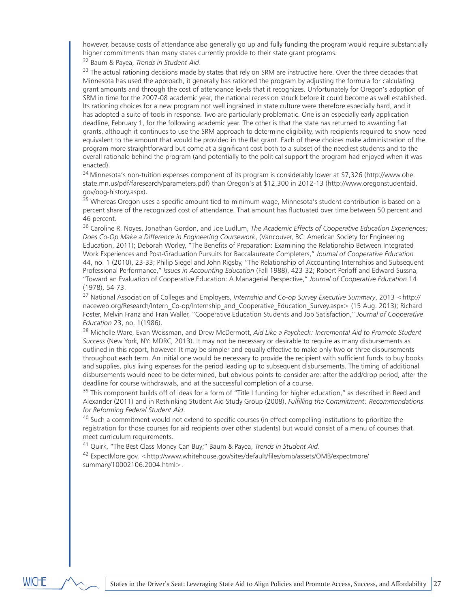however, because costs of attendance also generally go up and fully funding the program would require substantially higher commitments than many states currently provide to their state grant programs.

32 Baum & Payea, *Trends in Student Aid*.

<sup>33</sup> The actual rationing decisions made by states that rely on SRM are instructive here. Over the three decades that Minnesota has used the approach, it generally has rationed the program by adjusting the formula for calculating grant amounts and through the cost of attendance levels that it recognizes. Unfortunately for Oregon's adoption of SRM in time for the 2007-08 academic year, the national recession struck before it could become as well established. Its rationing choices for a new program not well ingrained in state culture were therefore especially hard, and it has adopted a suite of tools in response. Two are particularly problematic. One is an especially early application deadline, February 1, for the following academic year. The other is that the state has returned to awarding flat grants, although it continues to use the SRM approach to determine eligibility, with recipients required to show need equivalent to the amount that would be provided in the flat grant. Each of these choices make administration of the program more straightforward but come at a significant cost both to a subset of the neediest students and to the overall rationale behind the program (and potentially to the political support the program had enjoyed when it was enacted).

34 Minnesota's non-tuition expenses component of its program is considerably lower at \$7,326 (http://www.ohe. state.mn.us/pdf/faresearch/parameters.pdf) than Oregon's at \$12,300 in 2012-13 (http://www.oregonstudentaid. gov/oog-history.aspx).

<sup>35</sup> Whereas Oregon uses a specific amount tied to minimum wage, Minnesota's student contribution is based on a percent share of the recognized cost of attendance. That amount has fluctuated over time between 50 percent and 46 percent.

36 Caroline R. Noyes, Jonathan Gordon, and Joe Ludlum, *The Academic Effects of Cooperative Education Experiences: Does Co-Op Make a Difference in Engineering Coursework*, (Vancouver, BC: American Society for Engineering Education, 2011); Deborah Worley, "The Benefits of Preparation: Examining the Relationship Between Integrated Work Experiences and Post-Graduation Pursuits for Baccalaureate Completers," *Journal of Cooperative Education*  44, no. 1 (2010), 23-33; Philip Siegel and John Rigsby, "The Relationship of Accounting Internships and Subsequent Professional Performance," *Issues in Accounting Education* (Fall 1988), 423-32; Robert Perloff and Edward Sussna, "Toward an Evaluation of Cooperative Education: A Managerial Perspective," *Journal of Cooperative Education* 14 (1978), 54-73.

37 National Association of Colleges and Employers, *Internship and Co-op Survey Executive Summary*, 2013 <http:// naceweb.org/Research/Intern\_Co-op/Internship\_and\_Cooperative\_Education\_Survey.aspx> (15 Aug. 2013); Richard Foster, Melvin Franz and Fran Waller, "Cooperative Education Students and Job Satisfaction," *Journal of Cooperative Education* 23, no. 1(1986).

38 Michelle Ware, Evan Weissman, and Drew McDermott, *Aid Like a Paycheck: Incremental Aid to Promote Student Success* (New York, NY: MDRC, 2013). It may not be necessary or desirable to require as many disbursements as outlined in this report, however. It may be simpler and equally effective to make only two or three disbursements throughout each term. An initial one would be necessary to provide the recipient with sufficient funds to buy books and supplies, plus living expenses for the period leading up to subsequent disbursements. The timing of additional disbursements would need to be determined, but obvious points to consider are: after the add/drop period, after the deadline for course withdrawals, and at the successful completion of a course.

<sup>39</sup> This component builds off of ideas for a form of "Title I funding for higher education," as described in Reed and Alexander (2011) and in Rethinking Student Aid Study Group (2008), *Fulfilling the Commitment: Recommendations for Reforming Federal Student Aid*.

<sup>40</sup> Such a commitment would not extend to specific courses (in effect compelling institutions to prioritize the registration for those courses for aid recipients over other students) but would consist of a menu of courses that meet curriculum requirements.

41 Quirk, "The Best Class Money Can Buy;" Baum & Payea, *Trends in Student Aid*.

42 ExpectMore.gov, <http://www.whitehouse.gov/sites/default/files/omb/assets/OMB/expectmore/ summary/10002106.2004.html>.

**WICHF**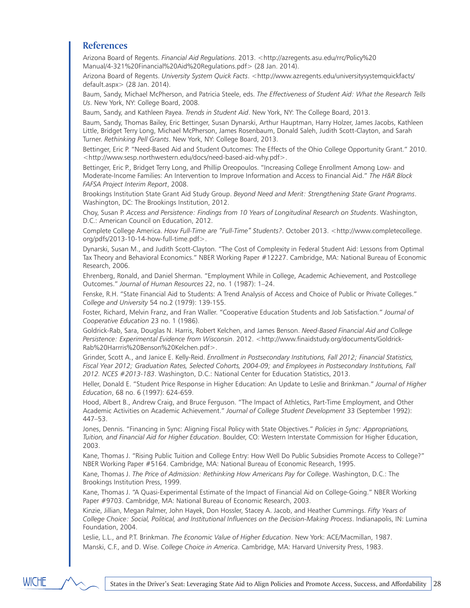## **References**

Arizona Board of Regents. *Financial Aid Regulations*. 2013. <http://azregents.asu.edu/rrc/Policy%20 Manual/4-321%20Financial%20Aid%20Regulations.pdf> (28 Jan. 2014).

Arizona Board of Regents. *University System Quick Facts*. <http://www.azregents.edu/universitysystemquickfacts/ default.aspx> (28 Jan. 2014).

Baum, Sandy, Michael McPherson, and Patricia Steele, eds. *The Effectiveness of Student Aid: What the Research Tells Us*. New York, NY: College Board, 2008.

Baum, Sandy, and Kathleen Payea. *Trends in Student Aid*. New York, NY: The College Board, 2013.

Baum, Sandy, Thomas Bailey, Eric Bettinger, Susan Dynarski, Arthur Hauptman, Harry Holzer, James Jacobs, Kathleen Little, Bridget Terry Long, Michael McPherson, James Rosenbaum, Donald Saleh, Judith Scott-Clayton, and Sarah Turner. *Rethinking Pell Grants*. New York, NY: College Board, 2013.

Bettinger, Eric P. "Need-Based Aid and Student Outcomes: The Effects of the Ohio College Opportunity Grant." 2010. <http://www.sesp.northwestern.edu/docs/need-based-aid-why.pdf>.

Bettinger, Eric P., Bridget Terry Long, and Phillip Oreopoulos. "Increasing College Enrollment Among Low- and Moderate-Income Families: An Intervention to Improve Information and Access to Financial Aid." *The H&R Block FAFSA Project Interim Report*, 2008.

Brookings Institution State Grant Aid Study Group. *Beyond Need and Merit: Strengthening State Grant Programs*. Washington, DC: The Brookings Institution, 2012.

Choy, Susan P. *Access and Persistence: Findings from 10 Years of Longitudinal Research on Students*. Washington, D.C.: American Council on Education, 2012.

Complete College America. *How Full-Time are "Full-Time" Students?*. October 2013. <http://www.completecollege. org/pdfs/2013-10-14-how-full-time.pdf>.

Dynarski, Susan M., and Judith Scott-Clayton. "The Cost of Complexity in Federal Student Aid: Lessons from Optimal Tax Theory and Behavioral Economics." NBER Working Paper #12227. Cambridge, MA: National Bureau of Economic Research, 2006.

Ehrenberg, Ronald, and Daniel Sherman. "Employment While in College, Academic Achievement, and Postcollege Outcomes." *Journal of Human Resources* 22, no. 1 (1987): 1–24.

Fenske, R.H. "State Financial Aid to Students: A Trend Analysis of Access and Choice of Public or Private Colleges." *College and University* 54 no.2 (1979): 139-155.

Foster, Richard, Melvin Franz, and Fran Waller. "Cooperative Education Students and Job Satisfaction." *Journal of Cooperative Education* 23 no. 1 (1986).

Goldrick-Rab, Sara, Douglas N. Harris, Robert Kelchen, and James Benson. *Need-Based Financial Aid and College Persistence: Experimental Evidence from Wisconsin*. 2012. <http://www.finaidstudy.org/documents/Goldrick-Rab%20Harrris%20Benson%20Kelchen.pdf>.

Grinder, Scott A., and Janice E. Kelly-Reid. *Enrollment in Postsecondary Institutions, Fall 2012; Financial Statistics, Fiscal Year 2012; Graduation Rates, Selected Cohorts, 2004-09; and Employees in Postsecondary Institutions, Fall 2012. NCES #2013-183*. Washington, D.C.: National Center for Education Statistics, 2013.

Heller, Donald E. "Student Price Response in Higher Education: An Update to Leslie and Brinkman." *Journal of Higher Education*, 68 no. 6 (1997): 624-659.

Hood, Albert B., Andrew Craig, and Bruce Ferguson. "The Impact of Athletics, Part-Time Employment, and Other Academic Activities on Academic Achievement." *Journal of College Student Development* 33 (September 1992): 447–53.

Jones, Dennis. "Financing in Sync: Aligning Fiscal Policy with State Objectives." *Policies in Sync: Appropriations, Tuition, and Financial Aid for Higher Education*. Boulder, CO: Western Interstate Commission for Higher Education, 2003.

Kane, Thomas J. "Rising Public Tuition and College Entry: How Well Do Public Subsidies Promote Access to College?" NBER Working Paper #5164. Cambridge, MA: National Bureau of Economic Research, 1995.

Kane, Thomas J. *The Price of Admission: Rethinking How Americans Pay for College*. Washington, D.C.: The Brookings Institution Press, 1999.

Kane, Thomas J. "A Quasi-Experimental Estimate of the Impact of Financial Aid on College-Going." NBER Working Paper #9703. Cambridge, MA: National Bureau of Economic Research, 2003.

Kinzie, Jillian, Megan Palmer, John Hayek, Don Hossler, Stacey A. Jacob, and Heather Cummings. *Fifty Years of College Choice: Social, Political, and Institutional Influences on the Decision-Making Process*. Indianapolis, IN: Lumina Foundation, 2004.

Leslie, L.L., and P.T. Brinkman. *The Economic Value of Higher Education*. New York: ACE/Macmillan, 1987. Manski, C.F., and D. Wise. *College Choice in America*. Cambridge, MA: Harvard University Press, 1983.

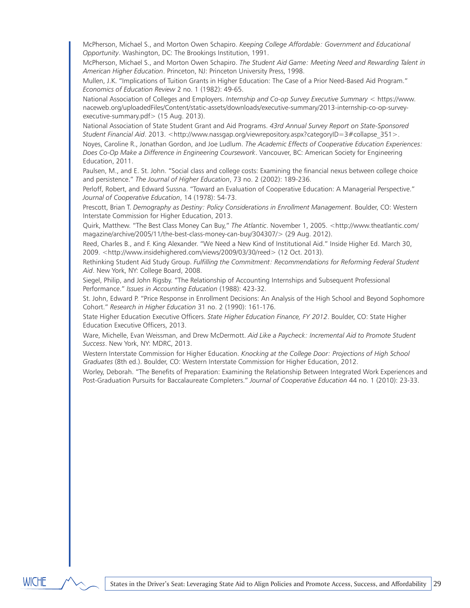McPherson, Michael S., and Morton Owen Schapiro. *Keeping College Affordable: Government and Educational Opportunity*. Washington, DC: The Brookings Institution, 1991.

McPherson, Michael S., and Morton Owen Schapiro. *The Student Aid Game: Meeting Need and Rewarding Talent in American Higher Education*. Princeton, NJ: Princeton University Press, 1998.

Mullen, J.K. "Implications of Tuition Grants in Higher Education: The Case of a Prior Need-Based Aid Program." *Economics of Education Review* 2 no. 1 (1982): 49-65.

National Association of Colleges and Employers. *Internship and Co-op Survey Executive Summary* < https://www. naceweb.org/uploadedFiles/Content/static-assets/downloads/executive-summary/2013-internship-co-op-surveyexecutive-summary.pdf> (15 Aug. 2013).

National Association of State Student Grant and Aid Programs. *43rd Annual Survey Report on State-Sponsored*  Student Financial Aid. 2013. <http://www.nassgap.org/viewrepository.aspx?categoryID=3#collapse\_351>.

Noyes, Caroline R., Jonathan Gordon, and Joe Ludlum. *The Academic Effects of Cooperative Education Experiences: Does Co-Op Make a Difference in Engineering Coursework*. Vancouver, BC: American Society for Engineering Education, 2011.

Paulsen, M., and E. St. John. "Social class and college costs: Examining the financial nexus between college choice and persistence." *The Journal of Higher Education*, 73 no. 2 (2002): 189-236.

Perloff, Robert, and Edward Sussna. "Toward an Evaluation of Cooperative Education: A Managerial Perspective." *Journal of Cooperative Education*, 14 (1978): 54-73.

Prescott, Brian T. *Demography as Destiny: Policy Considerations in Enrollment Management*. Boulder, CO: Western Interstate Commission for Higher Education, 2013.

Quirk, Matthew. "The Best Class Money Can Buy," *The Atlantic*. November 1, 2005. <http://www.theatlantic.com/ magazine/archive/2005/11/the-best-class-money-can-buy/304307/> (29 Aug. 2012).

Reed, Charles B., and F. King Alexander. "We Need a New Kind of Institutional Aid." Inside Higher Ed. March 30, 2009. <http://www.insidehighered.com/views/2009/03/30/reed> (12 Oct. 2013).

Rethinking Student Aid Study Group. *Fulfilling the Commitment: Recommendations for Reforming Federal Student Aid*. New York, NY: College Board, 2008.

Siegel, Philip, and John Rigsby. "The Relationship of Accounting Internships and Subsequent Professional Performance." *Issues in Accounting Education* (1988): 423-32.

St. John, Edward P. "Price Response in Enrollment Decisions: An Analysis of the High School and Beyond Sophomore Cohort." *Research in Higher Education* 31 no. 2 (1990): 161-176.

State Higher Education Executive Officers. *State Higher Education Finance, FY 2012*. Boulder, CO: State Higher Education Executive Officers, 2013.

Ware, Michelle, Evan Weissman, and Drew McDermott. *Aid Like a Paycheck: Incremental Aid to Promote Student Success*. New York, NY: MDRC, 2013.

Western Interstate Commission for Higher Education. *Knocking at the College Door: Projections of High School Graduates* (8th ed.). Boulder, CO: Western Interstate Commission for Higher Education, 2012.

Worley, Deborah. "The Benefits of Preparation: Examining the Relationship Between Integrated Work Experiences and Post-Graduation Pursuits for Baccalaureate Completers." *Journal of Cooperative Education* 44 no. 1 (2010): 23-33.

**WICHE**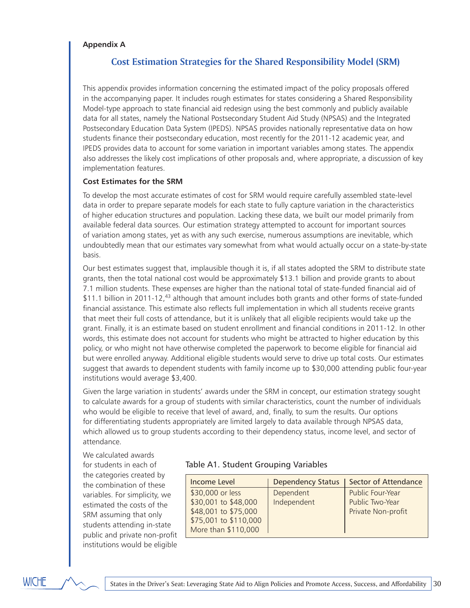## **Appendix A**

# **Cost Estimation Strategies for the Shared Responsibility Model (SRM)**

This appendix provides information concerning the estimated impact of the policy proposals offered in the accompanying paper. It includes rough estimates for states considering a Shared Responsibility Model-type approach to state financial aid redesign using the best commonly and publicly available data for all states, namely the National Postsecondary Student Aid Study (NPSAS) and the Integrated Postsecondary Education Data System (IPEDS). NPSAS provides nationally representative data on how students finance their postsecondary education, most recently for the 2011-12 academic year, and IPEDS provides data to account for some variation in important variables among states. The appendix also addresses the likely cost implications of other proposals and, where appropriate, a discussion of key implementation features.

#### **Cost Estimates for the SRM**

To develop the most accurate estimates of cost for SRM would require carefully assembled state-level data in order to prepare separate models for each state to fully capture variation in the characteristics of higher education structures and population. Lacking these data, we built our model primarily from available federal data sources. Our estimation strategy attempted to account for important sources of variation among states, yet as with any such exercise, numerous assumptions are inevitable, which undoubtedly mean that our estimates vary somewhat from what would actually occur on a state-by-state basis.

Our best estimates suggest that, implausible though it is, if all states adopted the SRM to distribute state grants, then the total national cost would be approximately \$13.1 billion and provide grants to about 7.1 million students. These expenses are higher than the national total of state-funded financial aid of \$11.1 billion in 2011-12,<sup>43</sup> although that amount includes both grants and other forms of state-funded financial assistance. This estimate also reflects full implementation in which all students receive grants that meet their full costs of attendance, but it is unlikely that all eligible recipients would take up the grant. Finally, it is an estimate based on student enrollment and financial conditions in 2011-12. In other words, this estimate does not account for students who might be attracted to higher education by this policy, or who might not have otherwise completed the paperwork to become eligible for financial aid but were enrolled anyway. Additional eligible students would serve to drive up total costs. Our estimates suggest that awards to dependent students with family income up to \$30,000 attending public four-year institutions would average \$3,400.

Given the large variation in students' awards under the SRM in concept, our estimation strategy sought to calculate awards for a group of students with similar characteristics, count the number of individuals who would be eligible to receive that level of award, and, finally, to sum the results. Our options for differentiating students appropriately are limited largely to data available through NPSAS data, which allowed us to group students according to their dependency status, income level, and sector of attendance.

We calculated awards for students in each of the categories created by the combination of these variables. For simplicity, we estimated the costs of the SRM assuming that only students attending in-state public and private non-profit institutions would be eligible

## Table A1. Student Grouping Variables

| Income Level          | <b>Dependency Status</b> | <b>Sector of Attendance</b> |
|-----------------------|--------------------------|-----------------------------|
| \$30,000 or less      | Dependent                | Public Four-Year            |
| \$30,001 to \$48,000  | Independent              | Public Two-Year             |
| \$48,001 to \$75,000  |                          | Private Non-profit          |
| \$75,001 to \$110,000 |                          |                             |
| More than \$110,000   |                          |                             |

**WICHE**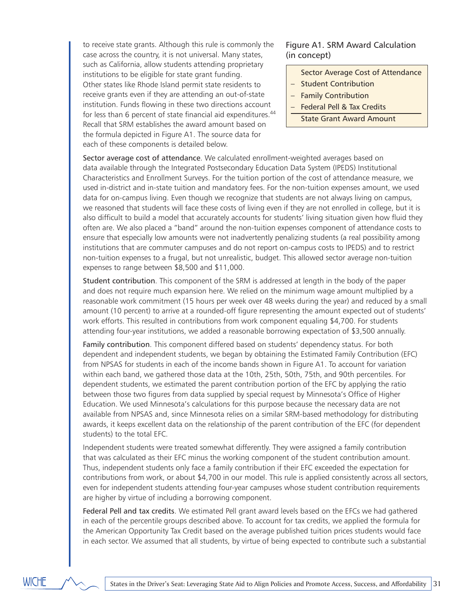to receive state grants. Although this rule is commonly the case across the country, it is not universal. Many states, such as California, allow students attending proprietary institutions to be eligible for state grant funding. Other states like Rhode Island permit state residents to receive grants even if they are attending an out-of-state institution. Funds flowing in these two directions account for less than 6 percent of state financial aid expenditures.<sup>44</sup> Recall that SRM establishes the award amount based on the formula depicted in Figure A1. The source data for each of these components is detailed below.

Figure A1. SRM Award Calculation (in concept)

Sector Average Cost of Attendance

- Student Contribution
- Family Contribution
- Federal Pell & Tax Credits
- State Grant Award Amount

Sector average cost of attendance. We calculated enrollment-weighted averages based on data available through the Integrated Postsecondary Education Data System (IPEDS) Institutional Characteristics and Enrollment Surveys. For the tuition portion of the cost of attendance measure, we used in-district and in-state tuition and mandatory fees. For the non-tuition expenses amount, we used data for on-campus living. Even though we recognize that students are not always living on campus, we reasoned that students will face these costs of living even if they are not enrolled in college, but it is also difficult to build a model that accurately accounts for students' living situation given how fluid they often are. We also placed a "band" around the non-tuition expenses component of attendance costs to ensure that especially low amounts were not inadvertently penalizing students (a real possibility among institutions that are commuter campuses and do not report on-campus costs to IPEDS) and to restrict non-tuition expenses to a frugal, but not unrealistic, budget. This allowed sector average non-tuition expenses to range between \$8,500 and \$11,000.

Student contribution. This component of the SRM is addressed at length in the body of the paper and does not require much expansion here. We relied on the minimum wage amount multiplied by a reasonable work commitment (15 hours per week over 48 weeks during the year) and reduced by a small amount (10 percent) to arrive at a rounded-off figure representing the amount expected out of students' work efforts. This resulted in contributions from work component equaling \$4,700. For students attending four-year institutions, we added a reasonable borrowing expectation of \$3,500 annually.

Family contribution. This component differed based on students' dependency status. For both dependent and independent students, we began by obtaining the Estimated Family Contribution (EFC) from NPSAS for students in each of the income bands shown in Figure A1. To account for variation within each band, we gathered those data at the 10th, 25th, 50th, 75th, and 90th percentiles. For dependent students, we estimated the parent contribution portion of the EFC by applying the ratio between those two figures from data supplied by special request by Minnesota's Office of Higher Education. We used Minnesota's calculations for this purpose because the necessary data are not available from NPSAS and, since Minnesota relies on a similar SRM-based methodology for distributing awards, it keeps excellent data on the relationship of the parent contribution of the EFC (for dependent students) to the total EFC.

Independent students were treated somewhat differently. They were assigned a family contribution that was calculated as their EFC minus the working component of the student contribution amount. Thus, independent students only face a family contribution if their EFC exceeded the expectation for contributions from work, or about \$4,700 in our model. This rule is applied consistently across all sectors, even for independent students attending four-year campuses whose student contribution requirements are higher by virtue of including a borrowing component.

Federal Pell and tax credits. We estimated Pell grant award levels based on the EFCs we had gathered in each of the percentile groups described above. To account for tax credits, we applied the formula for the American Opportunity Tax Credit based on the average published tuition prices students would face in each sector. We assumed that all students, by virtue of being expected to contribute such a substantial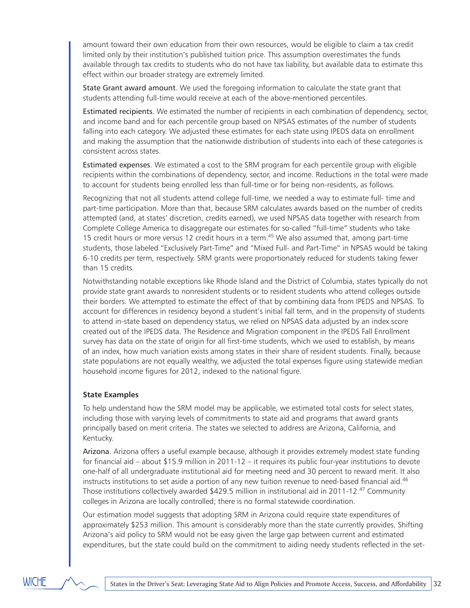amount toward their own education from their own resources, would be eligible to claim a tax credit limited only by their institution's published tuition price. This assumption overestimates the funds available through tax credits to students who do not have tax liability, but available data to estimate this effect within our broader strategy are extremely limited.

State Grant award amount. We used the foregoing information to calculate the state grant that students attending full-time would receive at each of the above-mentioned percentiles.

Estimated recipients. We estimated the number of recipients in each combination of dependency, sector, and income band and for each percentile group based on NPSAS estimates of the number of students falling into each category. We adjusted these estimates for each state using IPEDS data on enrollment and making the assumption that the nationwide distribution of students into each of these categories is consistent across states.

Estimated expenses. We estimated a cost to the SRM program for each percentile group with eligible recipients within the combinations of dependency, sector, and income. Reductions in the total were made to account for students being enrolled less than full-time or for being non-residents, as follows.

Recognizing that not all students attend college full-time, we needed a way to estimate full- time and part-time participation. More than that, because SRM calculates awards based on the number of credits attempted (and, at states' discretion, credits earned), we used NPSAS data together with research from Complete College America to disaggregate our estimates for so-called "full-time" students who take 15 credit hours or more versus 12 credit hours in a term.<sup>45</sup> We also assumed that, among part-time students, those labeled "Exclusively Part-Time" and "Mixed Full- and Part-Time" in NPSAS would be taking 6-10 credits per term, respectively. SRM grants were proportionately reduced for students taking fewer than 15 credits.

Notwithstanding notable exceptions like Rhode Island and the District of Columbia, states typically do not provide state grant awards to nonresident students or to resident students who attend colleges outside their borders. We attempted to estimate the effect of that by combining data from IPEDS and NPSAS. To account for differences in residency beyond a student's initial fall term, and in the propensity of students to attend in-state based on dependency status, we relied on NPSAS data adjusted by an index score created out of the IPEDS data. The Residence and Migration component in the IPEDS Fall Enrollment survey has data on the state of origin for all first-time students, which we used to establish, by means of an index, how much variation exists among states in their share of resident students. Finally, because state populations are not equally wealthy, we adjusted the total expenses figure using statewide median household income figures for 2012, indexed to the national figure.

## **State Examples**

To help understand how the SRM model may be applicable, we estimated total costs for select states, including those with varying levels of commitments to state aid and programs that award grants principally based on merit criteria. The states we selected to address are Arizona, California, and Kentucky.

Arizona. Arizona offers a useful example because, although it provides extremely modest state funding for financial aid – about \$15.9 million in 2011-12 – it requires its public four-year institutions to devote one-half of all undergraduate institutional aid for meeting need and 30 percent to reward merit. It also instructs institutions to set aside a portion of any new tuition revenue to need-based financial aid.<sup>46</sup> Those institutions collectively awarded \$429.5 million in institutional aid in 2011-12.47 Community colleges in Arizona are locally controlled; there is no formal statewide coordination.

Our estimation model suggests that adopting SRM in Arizona could require state expenditures of approximately \$253 million. This amount is considerably more than the state currently provides. Shifting Arizona's aid policy to SRM would not be easy given the large gap between current and estimated expenditures, but the state could build on the commitment to aiding needy students reflected in the set-

**WICHE**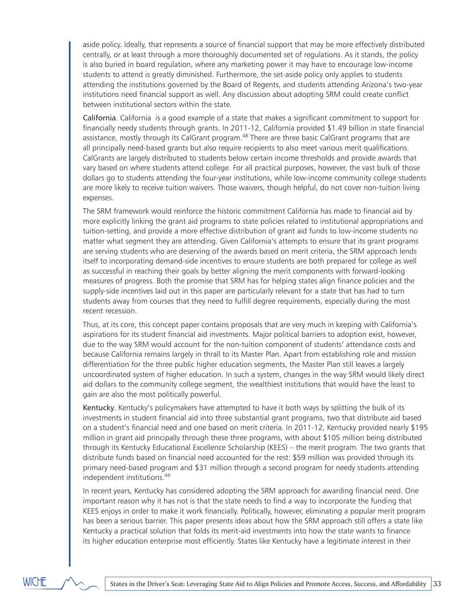aside policy. Ideally, that represents a source of financial support that may be more effectively distributed centrally, or at least through a more thoroughly documented set of regulations. As it stands, the policy is also buried in board regulation, where any marketing power it may have to encourage low-income students to attend is greatly diminished. Furthermore, the set-aside policy only applies to students attending the institutions governed by the Board of Regents, and students attending Arizona's two-year institutions need financial support as well. Any discussion about adopting SRM could create conflict between institutional sectors within the state.

California. California is a good example of a state that makes a significant commitment to support for financially needy students through grants. In 2011-12, California provided \$1.49 billion in state financial assistance, mostly through its CalGrant program.<sup>48</sup> There are three basic CalGrant programs that are all principally need-based grants but also require recipients to also meet various merit qualifications. CalGrants are largely distributed to students below certain income thresholds and provide awards that vary based on where students attend college. For all practical purposes, however, the vast bulk of those dollars go to students attending the four-year institutions, while low-income community college students are more likely to receive tuition waivers. Those waivers, though helpful, do not cover non-tuition living expenses.

The SRM framework would reinforce the historic commitment California has made to financial aid by more explicitly linking the grant aid programs to state policies related to institutional appropriations and tuition-setting, and provide a more effective distribution of grant aid funds to low-income students no matter what segment they are attending. Given California's attempts to ensure that its grant programs are serving students who are deserving of the awards based on merit criteria, the SRM approach lends itself to incorporating demand-side incentives to ensure students are both prepared for college as well as successful in reaching their goals by better aligning the merit components with forward-looking measures of progress. Both the promise that SRM has for helping states align finance policies and the supply-side incentives laid out in this paper are particularly relevant for a state that has had to turn students away from courses that they need to fulfill degree requirements, especially during the most recent recession.

Thus, at its core, this concept paper contains proposals that are very much in keeping with California's aspirations for its student financial aid investments. Major political barriers to adoption exist, however, due to the way SRM would account for the non-tuition component of students' attendance costs and because California remains largely in thrall to its Master Plan. Apart from establishing role and mission differentiation for the three public higher education segments, the Master Plan still leaves a largely uncoordinated system of higher education. In such a system, changes in the way SRM would likely direct aid dollars to the community college segment, the wealthiest institutions that would have the least to gain are also the most politically powerful.

Kentucky. Kentucky's policymakers have attempted to have it both ways by splitting the bulk of its investments in student financial aid into three substantial grant programs, two that distribute aid based on a student's financial need and one based on merit criteria. In 2011-12, Kentucky provided nearly \$195 million in grant aid principally through these three programs, with about \$105 million being distributed through its Kentucky Educational Excellence Scholarship (KEES) – the merit program. The two grants that distribute funds based on financial need accounted for the rest: \$59 million was provided through its primary need-based program and \$31 million through a second program for needy students attending independent institutions.49

In recent years, Kentucky has considered adopting the SRM approach for awarding financial need. One important reason why it has not is that the state needs to find a way to incorporate the funding that KEES enjoys in order to make it work financially. Politically, however, eliminating a popular merit program has been a serious barrier. This paper presents ideas about how the SRM approach still offers a state like Kentucky a practical solution that folds its merit-aid investments into how the state wants to finance its higher education enterprise most efficiently. States like Kentucky have a legitimate interest in their

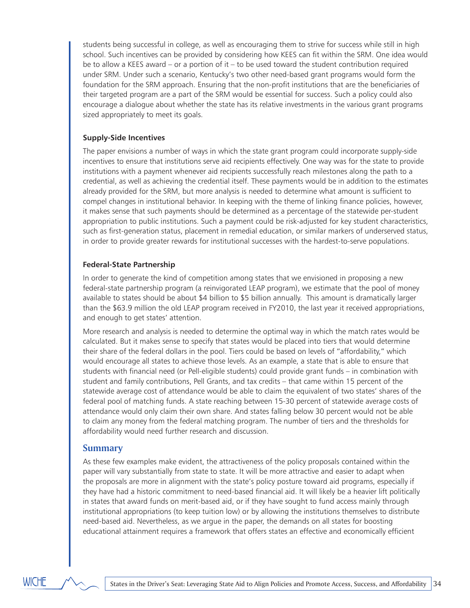students being successful in college, as well as encouraging them to strive for success while still in high school. Such incentives can be provided by considering how KEES can fit within the SRM. One idea would be to allow a KEES award – or a portion of it – to be used toward the student contribution required under SRM. Under such a scenario, Kentucky's two other need-based grant programs would form the foundation for the SRM approach. Ensuring that the non-profit institutions that are the beneficiaries of their targeted program are a part of the SRM would be essential for success. Such a policy could also encourage a dialogue about whether the state has its relative investments in the various grant programs sized appropriately to meet its goals.

#### **Supply-Side Incentives**

The paper envisions a number of ways in which the state grant program could incorporate supply-side incentives to ensure that institutions serve aid recipients effectively. One way was for the state to provide institutions with a payment whenever aid recipients successfully reach milestones along the path to a credential, as well as achieving the credential itself. These payments would be in addition to the estimates already provided for the SRM, but more analysis is needed to determine what amount is sufficient to compel changes in institutional behavior. In keeping with the theme of linking finance policies, however, it makes sense that such payments should be determined as a percentage of the statewide per-student appropriation to public institutions. Such a payment could be risk-adjusted for key student characteristics, such as first-generation status, placement in remedial education, or similar markers of underserved status, in order to provide greater rewards for institutional successes with the hardest-to-serve populations.

#### **Federal-State Partnership**

In order to generate the kind of competition among states that we envisioned in proposing a new federal-state partnership program (a reinvigorated LEAP program), we estimate that the pool of money available to states should be about \$4 billion to \$5 billion annually. This amount is dramatically larger than the \$63.9 million the old LEAP program received in FY2010, the last year it received appropriations, and enough to get states' attention.

More research and analysis is needed to determine the optimal way in which the match rates would be calculated. But it makes sense to specify that states would be placed into tiers that would determine their share of the federal dollars in the pool. Tiers could be based on levels of "affordability," which would encourage all states to achieve those levels. As an example, a state that is able to ensure that students with financial need (or Pell-eligible students) could provide grant funds – in combination with student and family contributions, Pell Grants, and tax credits – that came within 15 percent of the statewide average cost of attendance would be able to claim the equivalent of two states' shares of the federal pool of matching funds. A state reaching between 15-30 percent of statewide average costs of attendance would only claim their own share. And states falling below 30 percent would not be able to claim any money from the federal matching program. The number of tiers and the thresholds for affordability would need further research and discussion.

## **Summary**

As these few examples make evident, the attractiveness of the policy proposals contained within the paper will vary substantially from state to state. It will be more attractive and easier to adapt when the proposals are more in alignment with the state's policy posture toward aid programs, especially if they have had a historic commitment to need-based financial aid. It will likely be a heavier lift politically in states that award funds on merit-based aid, or if they have sought to fund access mainly through institutional appropriations (to keep tuition low) or by allowing the institutions themselves to distribute need-based aid. Nevertheless, as we argue in the paper, the demands on all states for boosting educational attainment requires a framework that offers states an effective and economically efficient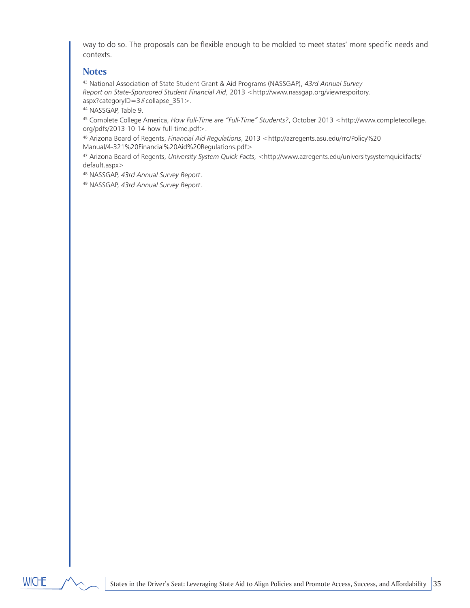way to do so. The proposals can be flexible enough to be molded to meet states' more specific needs and contexts.

## **Notes**

43 National Association of State Student Grant & Aid Programs (NASSGAP), *43rd Annual Survey Report on State-Sponsored Student Financial Aid*, 2013 <http://www.nassgap.org/viewrespoitory. aspx?categoryID=3#collapse\_351>.

44 NASSGAP, Table 9.

45 Complete College America, *How Full-Time are "Full-Time" Students?*, October 2013 <http://www.completecollege. org/pdfs/2013-10-14-how-full-time.pdf>.

46 Arizona Board of Regents, *Financial Aid Regulations*, 2013 <http://azregents.asu.edu/rrc/Policy%20 Manual/4-321%20Financial%20Aid%20Regulations.pdf>

47 Arizona Board of Regents, *University System Quick Facts*, <http://www.azregents.edu/universitysystemquickfacts/ default.aspx>

48 NASSGAP, *43rd Annual Survey Report*.

49 NASSGAP, *43rd Annual Survey Report*.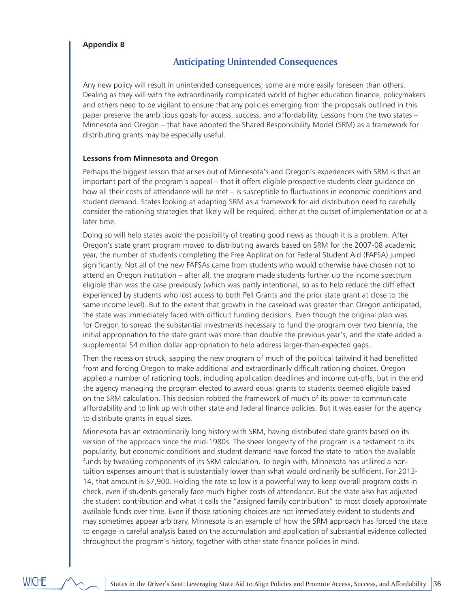#### **Appendix B**

# **Anticipating Unintended Consequences**

Any new policy will result in unintended consequences; some are more easily foreseen than others. Dealing as they will with the extraordinarily complicated world of higher education finance, policymakers and others need to be vigilant to ensure that any policies emerging from the proposals outlined in this paper preserve the ambitious goals for access, success, and affordability. Lessons from the two states – Minnesota and Oregon – that have adopted the Shared Responsibility Model (SRM) as a framework for distributing grants may be especially useful.

#### **Lessons from Minnesota and Oregon**

Perhaps the biggest lesson that arises out of Minnesota's and Oregon's experiences with SRM is that an important part of the program's appeal – that it offers eligible prospective students clear guidance on how all their costs of attendance will be met – is susceptible to fluctuations in economic conditions and student demand. States looking at adapting SRM as a framework for aid distribution need to carefully consider the rationing strategies that likely will be required, either at the outset of implementation or at a later time.

Doing so will help states avoid the possibility of treating good news as though it is a problem. After Oregon's state grant program moved to distributing awards based on SRM for the 2007-08 academic year, the number of students completing the Free Application for Federal Student Aid (FAFSA) jumped significantly. Not all of the new FAFSAs came from students who would otherwise have chosen not to attend an Oregon institution – after all, the program made students further up the income spectrum eligible than was the case previously (which was partly intentional, so as to help reduce the cliff effect experienced by students who lost access to both Pell Grants and the prior state grant at close to the same income level). But to the extent that growth in the caseload was greater than Oregon anticipated, the state was immediately faced with difficult funding decisions. Even though the original plan was for Oregon to spread the substantial investments necessary to fund the program over two biennia, the initial appropriation to the state grant was more than double the previous year's, and the state added a supplemental \$4 million dollar appropriation to help address larger-than-expected gaps.

Then the recession struck, sapping the new program of much of the political tailwind it had benefitted from and forcing Oregon to make additional and extraordinarily difficult rationing choices. Oregon applied a number of rationing tools, including application deadlines and income cut-offs, but in the end the agency managing the program elected to award equal grants to students deemed eligible based on the SRM calculation. This decision robbed the framework of much of its power to communicate affordability and to link up with other state and federal finance policies. But it was easier for the agency to distribute grants in equal sizes.

Minnesota has an extraordinarily long history with SRM, having distributed state grants based on its version of the approach since the mid-1980s. The sheer longevity of the program is a testament to its popularity, but economic conditions and student demand have forced the state to ration the available funds by tweaking components of its SRM calculation. To begin with, Minnesota has utilized a nontuition expenses amount that is substantially lower than what would ordinarily be sufficient. For 2013- 14, that amount is \$7,900. Holding the rate so low is a powerful way to keep overall program costs in check, even if students generally face much higher costs of attendance. But the state also has adjusted the student contribution and what it calls the "assigned family contribution" to most closely approximate available funds over time. Even if those rationing choices are not immediately evident to students and may sometimes appear arbitrary, Minnesota is an example of how the SRM approach has forced the state to engage in careful analysis based on the accumulation and application of substantial evidence collected throughout the program's history, together with other state finance policies in mind.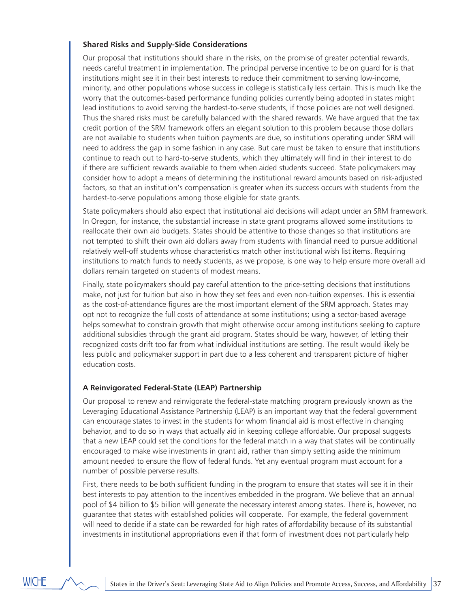## **Shared Risks and Supply-Side Considerations**

Our proposal that institutions should share in the risks, on the promise of greater potential rewards, needs careful treatment in implementation. The principal perverse incentive to be on guard for is that institutions might see it in their best interests to reduce their commitment to serving low-income, minority, and other populations whose success in college is statistically less certain. This is much like the worry that the outcomes-based performance funding policies currently being adopted in states might lead institutions to avoid serving the hardest-to-serve students, if those policies are not well designed. Thus the shared risks must be carefully balanced with the shared rewards. We have argued that the tax credit portion of the SRM framework offers an elegant solution to this problem because those dollars are not available to students when tuition payments are due, so institutions operating under SRM will need to address the gap in some fashion in any case. But care must be taken to ensure that institutions continue to reach out to hard-to-serve students, which they ultimately will find in their interest to do if there are sufficient rewards available to them when aided students succeed. State policymakers may consider how to adopt a means of determining the institutional reward amounts based on risk-adjusted factors, so that an institution's compensation is greater when its success occurs with students from the hardest-to-serve populations among those eligible for state grants.

State policymakers should also expect that institutional aid decisions will adapt under an SRM framework. In Oregon, for instance, the substantial increase in state grant programs allowed some institutions to reallocate their own aid budgets. States should be attentive to those changes so that institutions are not tempted to shift their own aid dollars away from students with financial need to pursue additional relatively well-off students whose characteristics match other institutional wish list items. Requiring institutions to match funds to needy students, as we propose, is one way to help ensure more overall aid dollars remain targeted on students of modest means.

Finally, state policymakers should pay careful attention to the price-setting decisions that institutions make, not just for tuition but also in how they set fees and even non-tuition expenses. This is essential as the cost-of-attendance figures are the most important element of the SRM approach. States may opt not to recognize the full costs of attendance at some institutions; using a sector-based average helps somewhat to constrain growth that might otherwise occur among institutions seeking to capture additional subsidies through the grant aid program. States should be wary, however, of letting their recognized costs drift too far from what individual institutions are setting. The result would likely be less public and policymaker support in part due to a less coherent and transparent picture of higher education costs.

## **A Reinvigorated Federal-State (LEAP) Partnership**

Our proposal to renew and reinvigorate the federal-state matching program previously known as the Leveraging Educational Assistance Partnership (LEAP) is an important way that the federal government can encourage states to invest in the students for whom financial aid is most effective in changing behavior, and to do so in ways that actually aid in keeping college affordable. Our proposal suggests that a new LEAP could set the conditions for the federal match in a way that states will be continually encouraged to make wise investments in grant aid, rather than simply setting aside the minimum amount needed to ensure the flow of federal funds. Yet any eventual program must account for a number of possible perverse results.

First, there needs to be both sufficient funding in the program to ensure that states will see it in their best interests to pay attention to the incentives embedded in the program. We believe that an annual pool of \$4 billion to \$5 billion will generate the necessary interest among states. There is, however, no guarantee that states with established policies will cooperate. For example, the federal government will need to decide if a state can be rewarded for high rates of affordability because of its substantial investments in institutional appropriations even if that form of investment does not particularly help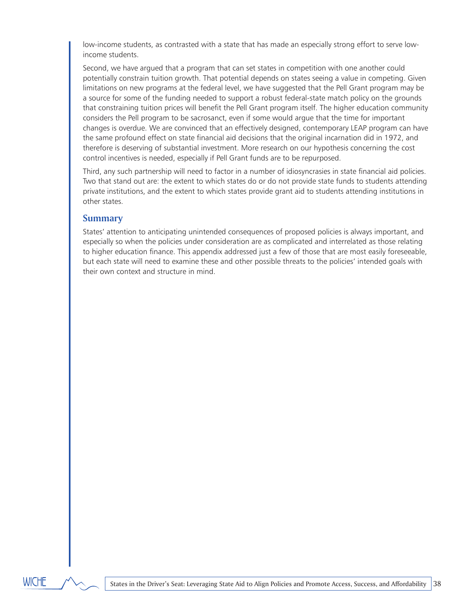low-income students, as contrasted with a state that has made an especially strong effort to serve lowincome students.

Second, we have argued that a program that can set states in competition with one another could potentially constrain tuition growth. That potential depends on states seeing a value in competing. Given limitations on new programs at the federal level, we have suggested that the Pell Grant program may be a source for some of the funding needed to support a robust federal-state match policy on the grounds that constraining tuition prices will benefit the Pell Grant program itself. The higher education community considers the Pell program to be sacrosanct, even if some would argue that the time for important changes is overdue. We are convinced that an effectively designed, contemporary LEAP program can have the same profound effect on state financial aid decisions that the original incarnation did in 1972, and therefore is deserving of substantial investment. More research on our hypothesis concerning the cost control incentives is needed, especially if Pell Grant funds are to be repurposed.

Third, any such partnership will need to factor in a number of idiosyncrasies in state financial aid policies. Two that stand out are: the extent to which states do or do not provide state funds to students attending private institutions, and the extent to which states provide grant aid to students attending institutions in other states.

## **Summary**

States' attention to anticipating unintended consequences of proposed policies is always important, and especially so when the policies under consideration are as complicated and interrelated as those relating to higher education finance. This appendix addressed just a few of those that are most easily foreseeable, but each state will need to examine these and other possible threats to the policies' intended goals with their own context and structure in mind.

**WICHE**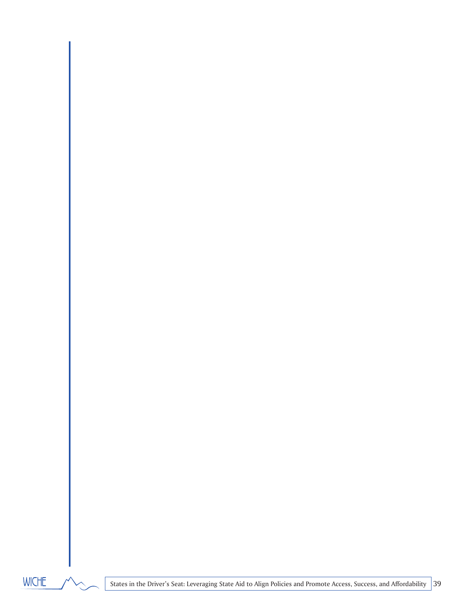